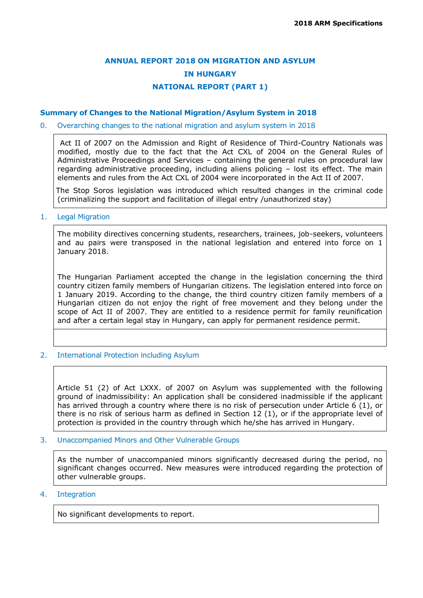# **ANNUAL REPORT 2018 ON MIGRATION AND ASYLUM IN HUNGARY NATIONAL REPORT (PART 1)**

#### **Summary of Changes to the National Migration/Asylum System in 2018**

#### 0. Overarching changes to the national migration and asylum system in 2018

Act II of 2007 on the Admission and Right of Residence of Third-Country Nationals was modified, mostly due to the fact that the Act CXL of 2004 on the General Rules of Administrative Proceedings and Services – containing the general rules on procedural law regarding administrative proceeding, including aliens policing – lost its effect. The main elements and rules from the Act CXL of 2004 were incorporated in the Act II of 2007.

The Stop Soros legislation was introduced which resulted changes in the criminal code (criminalizing the support and facilitation of illegal entry /unauthorized stay)

#### 1. Legal Migration

The mobility directives concerning students, researchers, trainees, job-seekers, volunteers and au pairs were transposed in the national legislation and entered into force on 1 January 2018.

The Hungarian Parliament accepted the change in the legislation concerning the third country citizen family members of Hungarian citizens. The legislation entered into force on 1 January 2019. According to the change, the third country citizen family members of a Hungarian citizen do not enjoy the right of free movement and they belong under the scope of Act II of 2007. They are entitled to a residence permit for family reunification and after a certain legal stay in Hungary, can apply for permanent residence permit.

2. International Protection including Asylum

Article 51 (2) of Act LXXX. of 2007 on Asylum was supplemented with the following ground of inadmissibility: An application shall be considered inadmissible if the applicant has arrived through a country where there is no risk of persecution under Article 6 (1), or there is no risk of serious harm as defined in Section 12 (1), or if the appropriate level of protection is provided in the country through which he/she has arrived in Hungary.

3. Unaccompanied Minors and Other Vulnerable Groups

As the number of unaccompanied minors significantly decreased during the period, no significant changes occurred. New measures were introduced regarding the protection of other vulnerable groups.

### 4. Integration

No significant developments to report.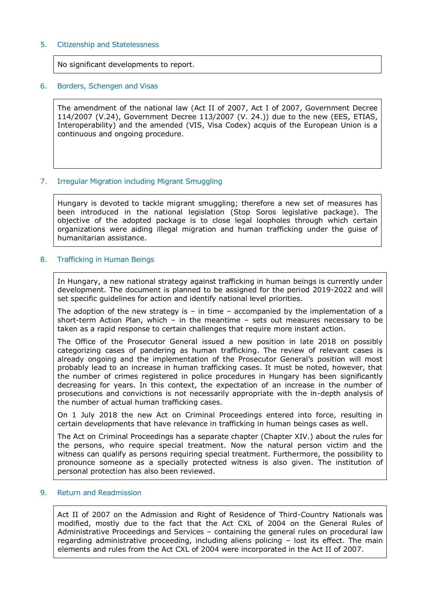#### 5. Citizenship and Statelessness

No significant developments to report.

#### 6. Borders, Schengen and Visas

The amendment of the national law (Act II of 2007, Act I of 2007, Government Decree 114/2007 (V.24), Government Decree 113/2007 (V. 24.)) due to the new (EES, ETIAS, Interoperability) and the amended (VIS, Visa Codex) acquis of the European Union is a continuous and ongoing procedure.

### 7. Irregular Migration including Migrant Smuggling

Hungary is devoted to tackle migrant smuggling; therefore a new set of measures has been introduced in the national legislation (Stop Soros legislative package). The objective of the adopted package is to close legal loopholes through which certain organizations were aiding illegal migration and human trafficking under the guise of humanitarian assistance.

### 8. Trafficking in Human Beings

In Hungary, a new national strategy against trafficking in human beings is currently under development. The document is planned to be assigned for the period 2019-2022 and will set specific guidelines for action and identify national level priorities.

The adoption of the new strategy is  $-$  in time  $-$  accompanied by the implementation of a short-term Action Plan, which – in the meantime – sets out measures necessary to be taken as a rapid response to certain challenges that require more instant action.

The Office of the Prosecutor General issued a new position in late 2018 on possibly categorizing cases of pandering as human trafficking. The review of relevant cases is already ongoing and the implementation of the Prosecutor General's position will most probably lead to an increase in human trafficking cases. It must be noted, however, that the number of crimes registered in police procedures in Hungary has been significantly decreasing for years. In this context, the expectation of an increase in the number of prosecutions and convictions is not necessarily appropriate with the in-depth analysis of the number of actual human trafficking cases.

On 1 July 2018 the new Act on Criminal Proceedings entered into force, resulting in certain developments that have relevance in trafficking in human beings cases as well.

The Act on Criminal Proceedings has a separate chapter (Chapter XIV.) about the rules for the persons, who require special treatment. Now the natural person victim and the witness can qualify as persons requiring special treatment. Furthermore, the possibility to pronounce someone as a specially protected witness is also given. The institution of personal protection has also been reviewed.

#### 9. Return and Readmission

Act II of 2007 on the Admission and Right of Residence of Third-Country Nationals was modified, mostly due to the fact that the Act CXL of 2004 on the General Rules of Administrative Proceedings and Services – containing the general rules on procedural law regarding administrative proceeding, including aliens policing – lost its effect. The main elements and rules from the Act CXL of 2004 were incorporated in the Act II of 2007.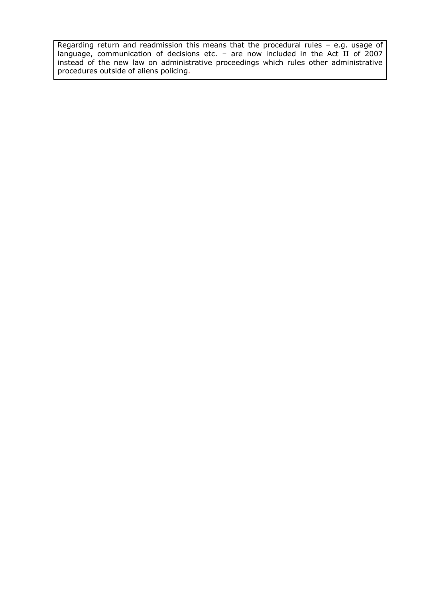$\mid$  Regarding return and readmission this means that the procedural rules – e.g. usage of language, communication of decisions etc. – are now included in the Act II of 2007 instead of the new law on administrative proceedings which rules other administrative procedures outside of aliens policing.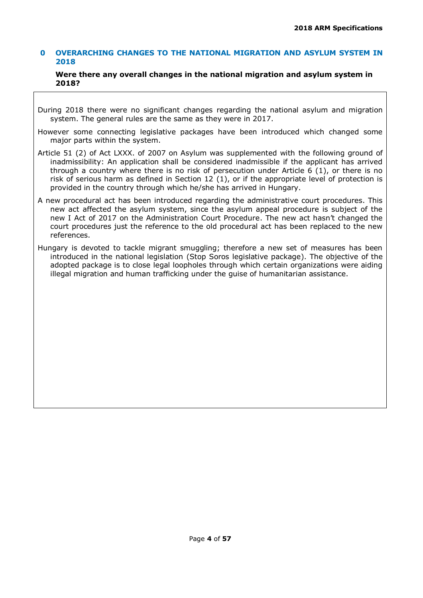### **0 OVERARCHING CHANGES TO THE NATIONAL MIGRATION AND ASYLUM SYSTEM IN 2018**

#### **Were there any overall changes in the national migration and asylum system in 2018?**

- During 2018 there were no significant changes regarding the national asylum and migration system. The general rules are the same as they were in 2017.
- However some connecting legislative packages have been introduced which changed some major parts within the system.
- Article 51 (2) of Act LXXX. of 2007 on Asylum was supplemented with the following ground of inadmissibility: An application shall be considered inadmissible if the applicant has arrived through a country where there is no risk of persecution under Article 6 (1), or there is no risk of serious harm as defined in Section 12 (1), or if the appropriate level of protection is provided in the country through which he/she has arrived in Hungary.
- A new procedural act has been introduced regarding the administrative court procedures. This new act affected the asylum system, since the asylum appeal procedure is subject of the new I Act of 2017 on the Administration Court Procedure. The new act hasn't changed the court procedures just the reference to the old procedural act has been replaced to the new references.
- Hungary is devoted to tackle migrant smuggling; therefore a new set of measures has been introduced in the national legislation (Stop Soros legislative package). The objective of the adopted package is to close legal loopholes through which certain organizations were aiding illegal migration and human trafficking under the guise of humanitarian assistance.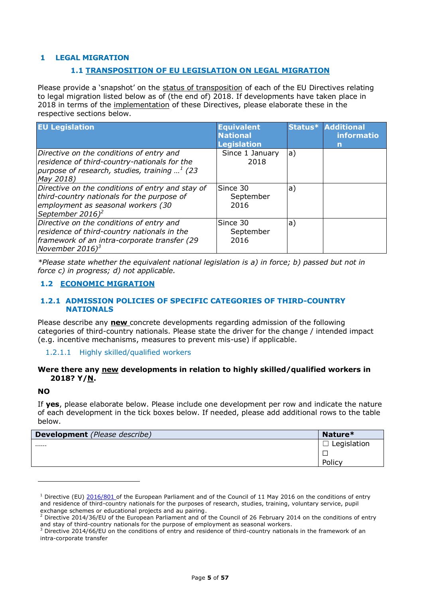### **1 LEGAL MIGRATION**

#### **1.1 TRANSPOSITION OF EU LEGISLATION ON LEGAL MIGRATION**

Please provide a 'snapshot' on the status of transposition of each of the EU Directives relating to legal migration listed below as of (the end of) 2018. If developments have taken place in 2018 in terms of the implementation of these Directives, please elaborate these in the respective sections below.

| <b>EU Legislation</b>                                                                                                                                                | <b>Equivalent</b><br><b>National</b><br><b>Legislation</b> | Status* | <b>Additional</b><br>informatio<br>n |
|----------------------------------------------------------------------------------------------------------------------------------------------------------------------|------------------------------------------------------------|---------|--------------------------------------|
| Directive on the conditions of entry and<br>residence of third-country-nationals for the<br>purpose of research, studies, training $1.1$ (23)<br>May 2018)           | Since 1 January<br>2018                                    | a)      |                                      |
| Directive on the conditions of entry and stay of<br>third-country nationals for the purpose of<br>employment as seasonal workers (30<br>September 2016) <sup>2</sup> | Since 30<br>September<br>2016                              | a)      |                                      |
| Directive on the conditions of entry and<br>residence of third-country nationals in the<br>framework of an intra-corporate transfer (29<br>November 2016) $^3$       | Since 30<br>September<br>2016                              | a)      |                                      |

*\*Please state whether the equivalent national legislation is a) in force; b) passed but not in force c) in progress; d) not applicable.*

#### **1.2 ECONOMIC MIGRATION**

#### **1.2.1 ADMISSION POLICIES OF SPECIFIC CATEGORIES OF THIRD-COUNTRY NATIONALS**

Please describe any **new** concrete developments regarding admission of the following categories of third-country nationals. Please state the driver for the change / intended impact (e.g. incentive mechanisms, measures to prevent mis-use) if applicable.

1.2.1.1 Highly skilled/qualified workers

#### **Were there any new developments in relation to highly skilled/qualified workers in 2018? Y/N.**

#### **NO**

ł

If **yes**, please elaborate below. Please include one development per row and indicate the nature of each development in the tick boxes below. If needed, please add additional rows to the table below.

| <b>Development</b> (Please describe) | Nature*     |
|--------------------------------------|-------------|
|                                      | Legislation |
|                                      |             |
|                                      | Policy      |

<sup>&</sup>lt;sup>1</sup> Directive (EU) [2016/801](https://eur-lex.europa.eu/legal-content/EN/AUTO/?uri=celex:32016L0801) of the European Parliament and of the Council of 11 May 2016 on the conditions of entry and residence of third-country nationals for the purposes of research, studies, training, voluntary service, pupil exchange schemes or educational projects and au pairing.

<sup>2</sup> Directive 2014/36/EU of the European Parliament and of the Council of 26 February 2014 on the conditions of entry and stay of third-country nationals for the purpose of employment as seasonal workers.

<sup>&</sup>lt;sup>3</sup> Directive 2014/66/EU on the conditions of entry and residence of third-country nationals in the framework of an intra-corporate transfer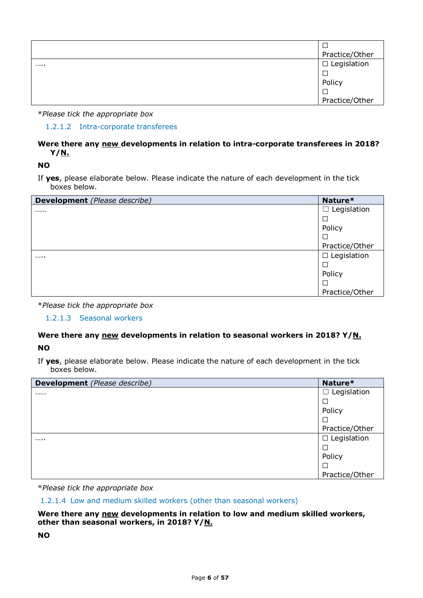| Practice/Other         |
|------------------------|
| <br>$\Box$ Legislation |
|                        |
| Policy                 |
|                        |
| Practice/Other         |

1.2.1.2 Intra-corporate transferees

### **Were there any new developments in relation to intra-corporate transferees in 2018? Y/N.**

**NO**

If **yes**, please elaborate below. Please indicate the nature of each development in the tick boxes below.

| <b>Development</b> (Please describe) | Nature*               |
|--------------------------------------|-----------------------|
|                                      | Legislation<br>$\Box$ |
|                                      | $\Box$                |
|                                      | Policy                |
|                                      | $\Box$                |
|                                      | Practice/Other        |
|                                      | $\Box$ Legislation    |
|                                      | □                     |
|                                      | Policy                |
|                                      | $\Box$                |
|                                      | Practice/Other        |

\**Please tick the appropriate box*

1.2.1.3 Seasonal workers

# **Were there any new developments in relation to seasonal workers in 2018? Y/N.**

**NO**

If **yes**, please elaborate below. Please indicate the nature of each development in the tick boxes below.

| <b>Development</b> (Please describe) | Nature*            |
|--------------------------------------|--------------------|
|                                      | Legislation<br>ப   |
|                                      |                    |
|                                      | Policy             |
|                                      |                    |
|                                      | Practice/Other     |
|                                      | $\Box$ Legislation |
|                                      |                    |
|                                      | Policy             |
|                                      |                    |
|                                      | Practice/Other     |

\**Please tick the appropriate box*

1.2.1.4 Low and medium skilled workers (other than seasonal workers)

### **Were there any new developments in relation to low and medium skilled workers, other than seasonal workers, in 2018? Y/N.**

**NO**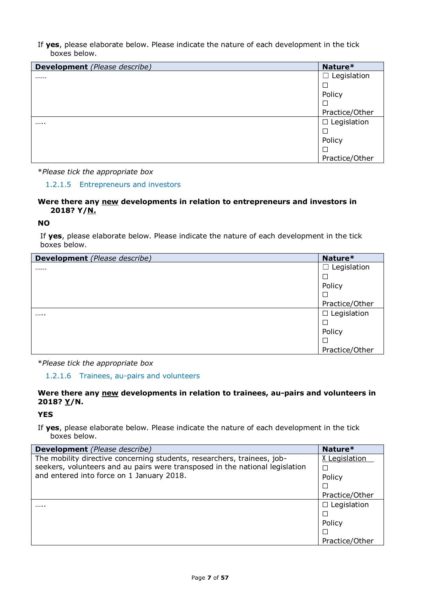If **yes**, please elaborate below. Please indicate the nature of each development in the tick boxes below.

| <b>Development</b> (Please describe) | Nature*               |
|--------------------------------------|-----------------------|
|                                      | Legislation<br>$\Box$ |
|                                      |                       |
|                                      | Policy                |
|                                      |                       |
|                                      | Practice/Other        |
|                                      | $\Box$ Legislation    |
|                                      |                       |
|                                      | Policy                |
|                                      |                       |
|                                      | Practice/Other        |

\**Please tick the appropriate box*

#### 1.2.1.5 Entrepreneurs and investors

### **Were there any new developments in relation to entrepreneurs and investors in 2018? Y/N.**

### **NO**

If **yes**, please elaborate below. Please indicate the nature of each development in the tick boxes below.

| Development (Please describe) | Nature*            |
|-------------------------------|--------------------|
|                               | $\Box$ Legislation |
|                               |                    |
|                               | Policy             |
|                               |                    |
|                               | Practice/Other     |
|                               | $\Box$ Legislation |
|                               | ⊏                  |
|                               | Policy             |
|                               |                    |
|                               | Practice/Other     |

\**Please tick the appropriate box*

1.2.1.6 Trainees, au-pairs and volunteers

### **Were there any new developments in relation to trainees, au-pairs and volunteers in 2018? Y/N.**

#### **YES**

| <b>Development</b> (Please describe)                                         | Nature*            |
|------------------------------------------------------------------------------|--------------------|
| The mobility directive concerning students, researchers, trainees, job-      | X Legislation      |
| seekers, volunteers and au pairs were transposed in the national legislation |                    |
| and entered into force on 1 January 2018.                                    | Policy             |
|                                                                              | □                  |
|                                                                              | Practice/Other     |
| .                                                                            | $\Box$ Legislation |
|                                                                              |                    |
|                                                                              | Policy             |
|                                                                              | $\Box$             |
|                                                                              | Practice/Other     |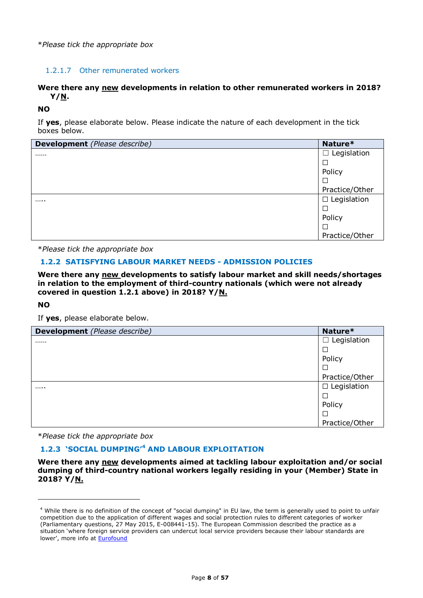### 1.2.1.7 Other remunerated workers

### **Were there any new developments in relation to other remunerated workers in 2018? Y/N.**

### **NO**

If **yes**, please elaborate below. Please indicate the nature of each development in the tick boxes below.

| <b>Development</b> (Please describe) | Nature*            |
|--------------------------------------|--------------------|
|                                      | $\Box$ Legislation |
|                                      |                    |
|                                      | Policy             |
|                                      |                    |
|                                      | Practice/Other     |
|                                      | $\Box$ Legislation |
|                                      |                    |
|                                      | Policy             |
|                                      | Ш                  |
|                                      | Practice/Other     |

\**Please tick the appropriate box*

### **1.2.2 SATISFYING LABOUR MARKET NEEDS - ADMISSION POLICIES**

**Were there any new developments to satisfy labour market and skill needs/shortages in relation to the employment of third-country nationals (which were not already covered in question 1.2.1 above) in 2018? Y/N.**

#### **NO**

ł

If **yes**, please elaborate below.

| <b>Development</b> (Please describe) | Nature*            |
|--------------------------------------|--------------------|
|                                      | $\Box$ Legislation |
|                                      | ⊒                  |
|                                      | Policy             |
|                                      | □                  |
|                                      | Practice/Other     |
|                                      | $\Box$ Legislation |
|                                      | $\Box$             |
|                                      | Policy             |
|                                      | $\Box$             |
|                                      | Practice/Other     |

\**Please tick the appropriate box*

### **1.2.3 'SOCIAL DUMPING'<sup>4</sup> AND LABOUR EXPLOITATION**

**Were there any new developments aimed at tackling labour exploitation and/or social dumping of third-country national workers legally residing in your (Member) State in 2018? Y/N.**

<sup>4</sup> While there is no definition of the concept of "social dumping" in EU law, the term is generally used to point to unfair competition due to the application of different wages and social protection rules to different categories of worker (Parliamentary questions, 27 May 2015, E-008441-15). The European Commission described the practice as a situation 'where foreign service providers can undercut local service providers because their labour standards are lower', more info at [Eurofound](https://www.eurofound.europa.eu/observatories/eurwork/industrial-relations-dictionary/social-dumping-0)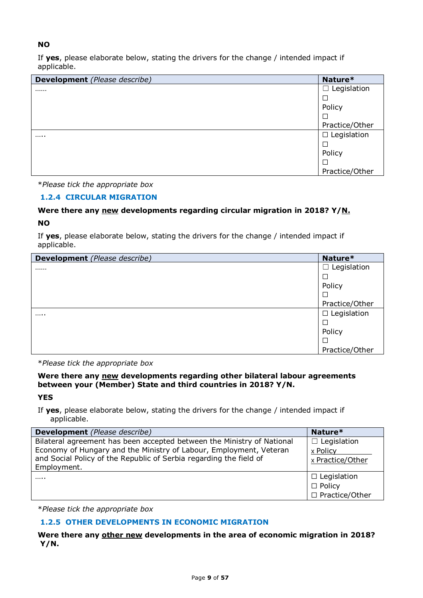### **NO**

If **yes**, please elaborate below, stating the drivers for the change / intended impact if applicable.

| <b>Development</b> (Please describe) | Nature*            |
|--------------------------------------|--------------------|
|                                      | $\Box$ Legislation |
|                                      |                    |
|                                      | Policy             |
|                                      |                    |
|                                      | Practice/Other     |
|                                      | $\Box$ Legislation |
|                                      |                    |
|                                      | Policy             |
|                                      |                    |
|                                      | Practice/Other     |

\**Please tick the appropriate box*

### **1.2.4 CIRCULAR MIGRATION**

### **Were there any new developments regarding circular migration in 2018? Y/N.**

### **NO**

If **yes**, please elaborate below, stating the drivers for the change / intended impact if applicable.

| <b>Development</b> (Please describe) | Nature*               |
|--------------------------------------|-----------------------|
|                                      | Legislation<br>$\Box$ |
|                                      | □                     |
|                                      | Policy                |
|                                      | ⊏                     |
|                                      | Practice/Other        |
|                                      | Legislation<br>$\Box$ |
|                                      | ⊏                     |
|                                      | Policy                |
|                                      | ⊏                     |
|                                      | Practice/Other        |

\**Please tick the appropriate box*

#### **Were there any new developments regarding other bilateral labour agreements between your (Member) State and third countries in 2018? Y/N.**

**YES**

If **yes**, please elaborate below, stating the drivers for the change / intended impact if applicable.

| <b>Development</b> (Please describe)                                                                                                                                                                                              | Nature*                                                 |
|-----------------------------------------------------------------------------------------------------------------------------------------------------------------------------------------------------------------------------------|---------------------------------------------------------|
| Bilateral agreement has been accepted between the Ministry of National<br>Economy of Hungary and the Ministry of Labour, Employment, Veteran<br>and Social Policy of the Republic of Serbia regarding the field of<br>Employment. | $\Box$ Legislation<br>x Policy<br>x Practice/Other      |
|                                                                                                                                                                                                                                   | $\Box$ Legislation<br>$\Box$ Policy<br>□ Practice/Other |

\**Please tick the appropriate box*

# **1.2.5 OTHER DEVELOPMENTS IN ECONOMIC MIGRATION**

### **Were there any other new developments in the area of economic migration in 2018? Y/N.**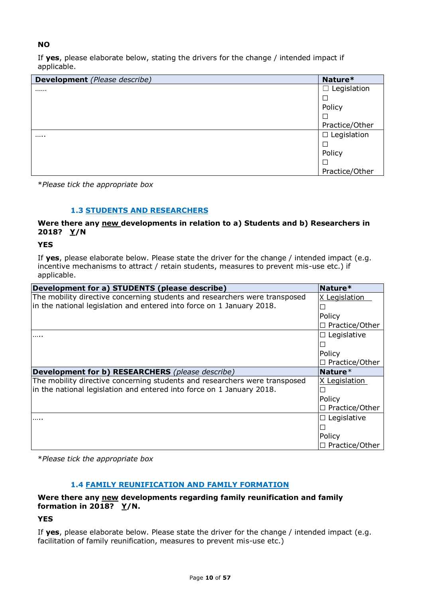### **NO**

If **yes**, please elaborate below, stating the drivers for the change / intended impact if applicable.

| <b>Development</b> (Please describe) | Nature*            |
|--------------------------------------|--------------------|
|                                      | $\Box$ Legislation |
|                                      |                    |
|                                      | Policy             |
|                                      | $\Box$             |
|                                      | Practice/Other     |
|                                      | $\Box$ Legislation |
|                                      | $\Box$             |
|                                      | Policy             |
|                                      |                    |
|                                      | Practice/Other     |

\**Please tick the appropriate box*

### **1.3 STUDENTS AND RESEARCHERS**

### **Were there any new developments in relation to a) Students and b) Researchers in 2018? Y/N**

### **YES**

If **yes**, please elaborate below. Please state the driver for the change / intended impact (e.g. incentive mechanisms to attract / retain students, measures to prevent mis-use etc.) if applicable.

| Development for a) STUDENTS (please describe)                              | Nature*               |
|----------------------------------------------------------------------------|-----------------------|
| The mobility directive concerning students and researchers were transposed | X Legislation         |
| in the national legislation and entered into force on 1 January 2018.      |                       |
|                                                                            | Policy                |
|                                                                            | $\Box$ Practice/Other |
| .                                                                          | $\Box$ Legislative    |
|                                                                            |                       |
|                                                                            | Policy                |
|                                                                            | $\Box$ Practice/Other |
|                                                                            |                       |
| <b>Development for b) RESEARCHERS</b> (please describe)                    | Nature $*$            |
| The mobility directive concerning students and researchers were transposed | X Legislation         |
| in the national legislation and entered into force on 1 January 2018.      |                       |
|                                                                            | Policy                |
|                                                                            | $\Box$ Practice/Other |
| .                                                                          | $\Box$ Legislative    |
|                                                                            |                       |
|                                                                            | Policy                |

\**Please tick the appropriate box*

### **1.4 FAMILY REUNIFICATION AND FAMILY FORMATION**

### **Were there any new developments regarding family reunification and family formation in 2018? Y/N.**

### **YES**

If **yes**, please elaborate below. Please state the driver for the change / intended impact (e.g. facilitation of family reunification, measures to prevent mis-use etc.)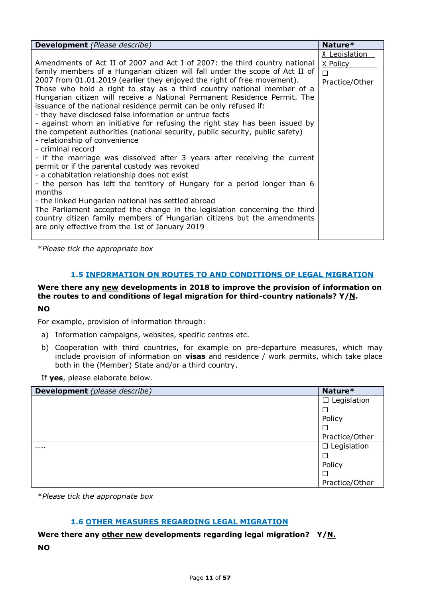| <b>Development</b> (Please describe)                                                                                                                                                                                                                                                                                                                                                                                                                                                                                                                                                                                                                                                                                                                                                                                                                                                                                                                                                                                                                                                                                                                                                                                                                                                      | Nature*                                          |
|-------------------------------------------------------------------------------------------------------------------------------------------------------------------------------------------------------------------------------------------------------------------------------------------------------------------------------------------------------------------------------------------------------------------------------------------------------------------------------------------------------------------------------------------------------------------------------------------------------------------------------------------------------------------------------------------------------------------------------------------------------------------------------------------------------------------------------------------------------------------------------------------------------------------------------------------------------------------------------------------------------------------------------------------------------------------------------------------------------------------------------------------------------------------------------------------------------------------------------------------------------------------------------------------|--------------------------------------------------|
| Amendments of Act II of 2007 and Act I of 2007: the third country national<br>family members of a Hungarian citizen will fall under the scope of Act II of<br>2007 from 01.01.2019 (earlier they enjoyed the right of free movement).<br>Those who hold a right to stay as a third country national member of a<br>Hungarian citizen will receive a National Permanent Residence Permit. The<br>issuance of the national residence permit can be only refused if:<br>- they have disclosed false information or untrue facts<br>- against whom an initiative for refusing the right stay has been issued by<br>the competent authorities (national security, public security, public safety)<br>- relationship of convenience<br>- criminal record<br>- if the marriage was dissolved after 3 years after receiving the current<br>permit or if the parental custody was revoked<br>- a cohabitation relationship does not exist<br>- the person has left the territory of Hungary for a period longer than 6<br>months<br>- the linked Hungarian national has settled abroad<br>The Parliament accepted the change in the legislation concerning the third<br>country citizen family members of Hungarian citizens but the amendments<br>are only effective from the 1st of January 2019 | X Legislation<br>X Policy<br>П<br>Practice/Other |

### **1.5 INFORMATION ON ROUTES TO AND CONDITIONS OF LEGAL MIGRATION**

# **Were there any new developments in 2018 to improve the provision of information on the routes to and conditions of legal migration for third-country nationals? Y/N.**

#### **NO**

For example, provision of information through:

- a) Information campaigns, websites, specific centres etc.
- b) Cooperation with third countries, for example on pre-departure measures, which may include provision of information on **visas** and residence / work permits, which take place both in the (Member) State and/or a third country.

If **yes**, please elaborate below.

| <b>Development</b> (please describe) | Nature*            |
|--------------------------------------|--------------------|
|                                      | Legislation<br>ш   |
|                                      | □                  |
|                                      | Policy             |
|                                      | ⊏                  |
|                                      | Practice/Other     |
|                                      | $\Box$ Legislation |
|                                      | ⊏                  |
|                                      | Policy             |
|                                      | ⊏                  |
|                                      | Practice/Other     |

\**Please tick the appropriate box*

#### **1.6 OTHER MEASURES REGARDING LEGAL MIGRATION**

**Were there any other new developments regarding legal migration? Y/N. NO**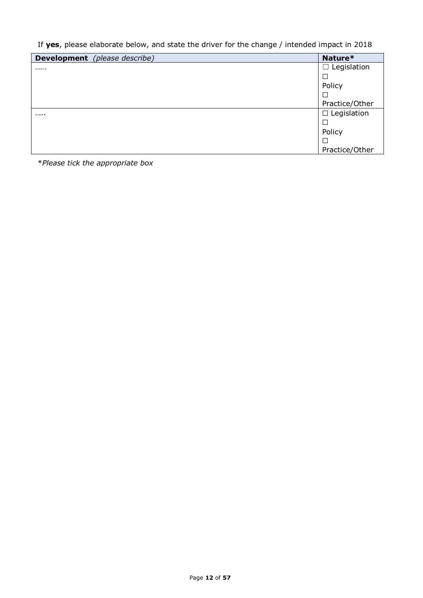If **yes**, please elaborate below, and state the driver for the change / intended impact in 2018

| <b>Development</b> (please describe) | Nature*            |
|--------------------------------------|--------------------|
|                                      | $\Box$ Legislation |
|                                      |                    |
|                                      | Policy             |
|                                      |                    |
|                                      | Practice/Other     |
|                                      | $\Box$ Legislation |
|                                      |                    |
|                                      | Policy             |
|                                      |                    |
|                                      | Practice/Other     |

\**Please tick the appropriate box*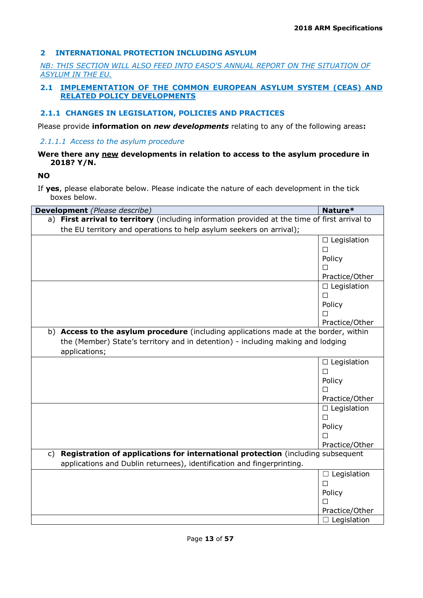### **2 INTERNATIONAL PROTECTION INCLUDING ASYLUM**

*NB: THIS SECTION WILL ALSO FEED INTO EASO'S ANNUAL REPORT ON THE SITUATION OF ASYLUM IN THE EU.* 

### **2.1 IMPLEMENTATION OF THE COMMON EUROPEAN ASYLUM SYSTEM (CEAS) AND RELATED POLICY DEVELOPMENTS**

### **2.1.1 CHANGES IN LEGISLATION, POLICIES AND PRACTICES**

Please provide **information on** *new developments* relating to any of the following areas**:**

### *2.1.1.1 Access to the asylum procedure*

### **Were there any new developments in relation to access to the asylum procedure in 2018? Y/N.**

**NO**

| Development (Please describe)                                                                     | Nature*            |  |
|---------------------------------------------------------------------------------------------------|--------------------|--|
| a) First arrival to territory (including information provided at the time of first arrival to     |                    |  |
| the EU territory and operations to help asylum seekers on arrival);                               |                    |  |
|                                                                                                   | $\Box$ Legislation |  |
|                                                                                                   | $\Box$             |  |
|                                                                                                   | Policy             |  |
|                                                                                                   | П                  |  |
|                                                                                                   | Practice/Other     |  |
|                                                                                                   | $\Box$ Legislation |  |
|                                                                                                   | □                  |  |
|                                                                                                   | Policy             |  |
|                                                                                                   | п                  |  |
|                                                                                                   | Practice/Other     |  |
| b) Access to the asylum procedure (including applications made at the border, within              |                    |  |
| the (Member) State's territory and in detention) - including making and lodging<br>applications;  |                    |  |
|                                                                                                   | $\Box$ Legislation |  |
|                                                                                                   | $\Box$             |  |
|                                                                                                   | Policy             |  |
|                                                                                                   | П                  |  |
|                                                                                                   | Practice/Other     |  |
|                                                                                                   | $\Box$ Legislation |  |
|                                                                                                   | $\Box$             |  |
|                                                                                                   | Policy             |  |
|                                                                                                   | $\Box$             |  |
|                                                                                                   | Practice/Other     |  |
| Registration of applications for international protection (including subsequent<br>$\mathsf{C}$ ) |                    |  |
| applications and Dublin returnees), identification and fingerprinting.                            |                    |  |
|                                                                                                   | $\Box$ Legislation |  |
|                                                                                                   | $\Box$             |  |
|                                                                                                   | Policy             |  |
|                                                                                                   | П                  |  |
|                                                                                                   | Practice/Other     |  |
|                                                                                                   | $\Box$ Legislation |  |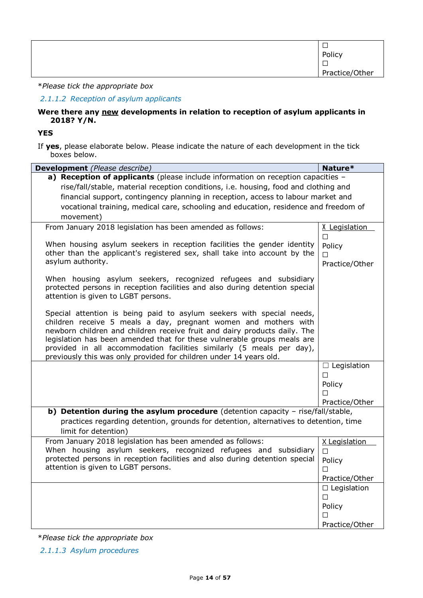| −              |
|----------------|
| Policy         |
|                |
| Practice/Other |
|                |

### *2.1.1.2 Reception of asylum applicants*

#### **Were there any new developments in relation to reception of asylum applicants in 2018? Y/N.**

**YES**

If **yes**, please elaborate below. Please indicate the nature of each development in the tick boxes below.

| Development (Please describe)                                                                                                                                                                                                                                                                                                                                                                                                                   | Nature*                       |
|-------------------------------------------------------------------------------------------------------------------------------------------------------------------------------------------------------------------------------------------------------------------------------------------------------------------------------------------------------------------------------------------------------------------------------------------------|-------------------------------|
| a) Reception of applicants (please include information on reception capacities -                                                                                                                                                                                                                                                                                                                                                                |                               |
| rise/fall/stable, material reception conditions, i.e. housing, food and clothing and                                                                                                                                                                                                                                                                                                                                                            |                               |
| financial support, contingency planning in reception, access to labour market and                                                                                                                                                                                                                                                                                                                                                               |                               |
| vocational training, medical care, schooling and education, residence and freedom of                                                                                                                                                                                                                                                                                                                                                            |                               |
| movement)                                                                                                                                                                                                                                                                                                                                                                                                                                       |                               |
| From January 2018 legislation has been amended as follows:                                                                                                                                                                                                                                                                                                                                                                                      | X Legislation<br>$\Box$       |
| When housing asylum seekers in reception facilities the gender identity<br>other than the applicant's registered sex, shall take into account by the<br>asylum authority.                                                                                                                                                                                                                                                                       | Policy<br>П<br>Practice/Other |
| When housing asylum seekers, recognized refugees and subsidiary<br>protected persons in reception facilities and also during detention special<br>attention is given to LGBT persons.                                                                                                                                                                                                                                                           |                               |
| Special attention is being paid to asylum seekers with special needs,<br>children receive 5 meals a day, pregnant women and mothers with<br>newborn children and children receive fruit and dairy products daily. The<br>legislation has been amended that for these vulnerable groups meals are<br>provided in all accommodation facilities similarly (5 meals per day),<br>previously this was only provided for children under 14 years old. |                               |
|                                                                                                                                                                                                                                                                                                                                                                                                                                                 | $\Box$ Legislation            |
|                                                                                                                                                                                                                                                                                                                                                                                                                                                 | П                             |
|                                                                                                                                                                                                                                                                                                                                                                                                                                                 | Policy                        |
|                                                                                                                                                                                                                                                                                                                                                                                                                                                 | П                             |
|                                                                                                                                                                                                                                                                                                                                                                                                                                                 | Practice/Other                |
| b) Detention during the asylum procedure (detention capacity - rise/fall/stable,                                                                                                                                                                                                                                                                                                                                                                |                               |
| practices regarding detention, grounds for detention, alternatives to detention, time<br>limit for detention)                                                                                                                                                                                                                                                                                                                                   |                               |
| From January 2018 legislation has been amended as follows:                                                                                                                                                                                                                                                                                                                                                                                      | X Legislation                 |
| When housing asylum seekers, recognized refugees and subsidiary                                                                                                                                                                                                                                                                                                                                                                                 | П                             |
| protected persons in reception facilities and also during detention special                                                                                                                                                                                                                                                                                                                                                                     | Policy                        |
| attention is given to LGBT persons.                                                                                                                                                                                                                                                                                                                                                                                                             | П                             |
|                                                                                                                                                                                                                                                                                                                                                                                                                                                 | Practice/Other                |
|                                                                                                                                                                                                                                                                                                                                                                                                                                                 | $\Box$ Legislation            |
|                                                                                                                                                                                                                                                                                                                                                                                                                                                 | П                             |
|                                                                                                                                                                                                                                                                                                                                                                                                                                                 | Policy                        |
|                                                                                                                                                                                                                                                                                                                                                                                                                                                 | П                             |
|                                                                                                                                                                                                                                                                                                                                                                                                                                                 | Practice/Other                |

\**Please tick the appropriate box*

*2.1.1.3 Asylum procedures*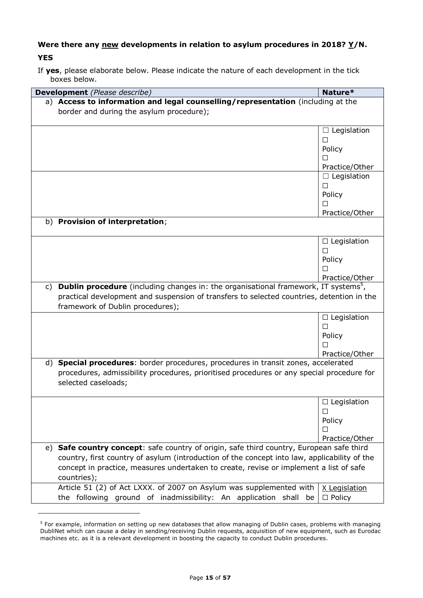# Were there any <u>new</u> developments in relation to asylum procedures in 2018? Y/N. **YES**

If **yes**, please elaborate below. Please indicate the nature of each development in the tick boxes below.

| Development (Please describe)                                                                                | Nature*            |
|--------------------------------------------------------------------------------------------------------------|--------------------|
| a) Access to information and legal counselling/representation (including at the                              |                    |
| border and during the asylum procedure);                                                                     |                    |
|                                                                                                              |                    |
|                                                                                                              | $\Box$ Legislation |
|                                                                                                              | $\Box$             |
|                                                                                                              | Policy             |
|                                                                                                              | $\perp$            |
|                                                                                                              | Practice/Other     |
|                                                                                                              | $\Box$ Legislation |
|                                                                                                              | $\Box$             |
|                                                                                                              | Policy             |
|                                                                                                              | □                  |
|                                                                                                              | Practice/Other     |
| b) Provision of interpretation;                                                                              |                    |
|                                                                                                              | $\Box$ Legislation |
|                                                                                                              | $\Box$             |
|                                                                                                              | Policy             |
|                                                                                                              | П                  |
|                                                                                                              | Practice/Other     |
| <b>Dublin procedure</b> (including changes in: the organisational framework, IT systems <sup>5</sup> ,<br>C) |                    |
| practical development and suspension of transfers to selected countries, detention in the                    |                    |
| framework of Dublin procedures);                                                                             |                    |
|                                                                                                              | $\Box$ Legislation |
|                                                                                                              | $\Box$             |
|                                                                                                              | Policy             |
|                                                                                                              | П                  |
|                                                                                                              | Practice/Other     |
| <b>Special procedures:</b> border procedures, procedures in transit zones, accelerated<br>d)                 |                    |
| procedures, admissibility procedures, prioritised procedures or any special procedure for                    |                    |
| selected caseloads;                                                                                          |                    |
|                                                                                                              |                    |
|                                                                                                              | $\Box$ Legislation |
|                                                                                                              | □                  |
|                                                                                                              | Policy             |
|                                                                                                              | □                  |
|                                                                                                              | Practice/Other     |
| Safe country concept: safe country of origin, safe third country, European safe third<br>e)                  |                    |
| country, first country of asylum (introduction of the concept into law, applicability of the                 |                    |
| concept in practice, measures undertaken to create, revise or implement a list of safe                       |                    |
| countries);                                                                                                  |                    |
| Article 51 (2) of Act LXXX. of 2007 on Asylum was supplemented with                                          | X Legislation      |
| the following ground of inadmissibility: An application shall be                                             | $\Box$ Policy      |

ł

<sup>&</sup>lt;sup>5</sup> For example, information on setting up new databases that allow managing of Dublin cases, problems with managing DubliNet which can cause a delay in sending/receiving Dublin requests, acquisition of new equipment, such as Eurodac machines etc. as it is a relevant development in boosting the capacity to conduct Dublin procedures.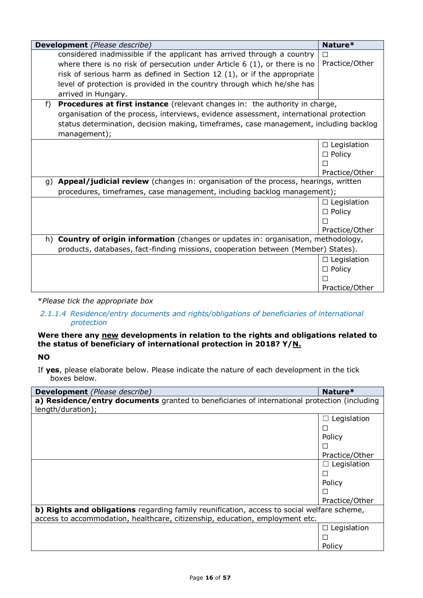|       | Development (Please describe)                                                           | Nature*            |
|-------|-----------------------------------------------------------------------------------------|--------------------|
|       | considered inadmissible if the applicant has arrived through a country                  |                    |
|       | where there is no risk of persecution under Article $6(1)$ , or there is no             | Practice/Other     |
|       | risk of serious harm as defined in Section 12 (1), or if the appropriate                |                    |
|       | level of protection is provided in the country through which he/she has                 |                    |
|       | arrived in Hungary.                                                                     |                    |
| $f$ ) | Procedures at first instance (relevant changes in: the authority in charge,             |                    |
|       | organisation of the process, interviews, evidence assessment, international protection  |                    |
|       | status determination, decision making, timeframes, case management, including backlog   |                    |
|       | management);                                                                            |                    |
|       |                                                                                         |                    |
|       |                                                                                         | $\Box$ Legislation |
|       |                                                                                         | $\Box$ Policy      |
|       |                                                                                         |                    |
|       |                                                                                         | Practice/Other     |
| q)    | Appeal/judicial review (changes in: organisation of the process, hearings, written      |                    |
|       | procedures, timeframes, case management, including backlog management);                 |                    |
|       |                                                                                         | $\Box$ Legislation |
|       |                                                                                         | $\Box$ Policy      |
|       |                                                                                         |                    |
|       |                                                                                         | Practice/Other     |
| h)    | <b>Country of origin information</b> (changes or updates in: organisation, methodology, |                    |
|       | products, databases, fact-finding missions, cooperation between (Member) States).       |                    |
|       |                                                                                         |                    |
|       |                                                                                         | $\Box$ Legislation |
|       |                                                                                         | $\Box$ Policy      |
|       |                                                                                         |                    |
|       |                                                                                         | Practice/Other     |

### *2.1.1.4 Residence/entry documents and rights/obligations of beneficiaries of international protection*

### **Were there any new developments in relation to the rights and obligations related to the status of beneficiary of international protection in 2018? Y/N.**

**NO**

| <b>Development</b> (Please describe)                                                         | Nature*                |
|----------------------------------------------------------------------------------------------|------------------------|
| a) Residence/entry documents granted to beneficiaries of international protection (including |                        |
| length/duration);                                                                            |                        |
|                                                                                              | Legislation            |
|                                                                                              | $\Box$                 |
|                                                                                              | Policy                 |
|                                                                                              |                        |
|                                                                                              | Practice/Other         |
|                                                                                              | Legislation<br>$\perp$ |
|                                                                                              | П                      |
|                                                                                              | Policy                 |
|                                                                                              | $\Box$                 |
|                                                                                              | Practice/Other         |
| b) Rights and obligations regarding family reunification, access to social welfare scheme,   |                        |
| access to accommodation, healthcare, citizenship, education, employment etc.                 |                        |
|                                                                                              | $\Box$ Legislation     |
|                                                                                              | $\Box$                 |
|                                                                                              | Policy                 |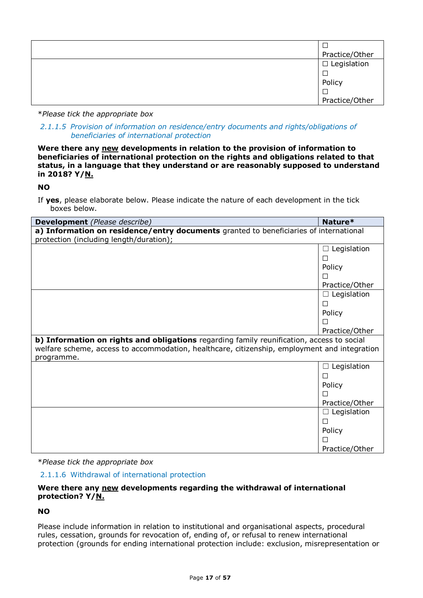| Practice/Other        |
|-----------------------|
| $\square$ Legislation |
|                       |
| Policy                |
|                       |
| Practice/Other        |

*2.1.1.5 Provision of information on residence/entry documents and rights/obligations of beneficiaries of international protection*

**Were there any new developments in relation to the provision of information to beneficiaries of international protection on the rights and obligations related to that status, in a language that they understand or are reasonably supposed to understand in 2018? Y/N.**

### **NO**

If **yes**, please elaborate below. Please indicate the nature of each development in the tick boxes below.

| <b>Development</b> (Please describe)                                                                                                                                                                    | Nature*          |
|---------------------------------------------------------------------------------------------------------------------------------------------------------------------------------------------------------|------------------|
| a) Information on residence/entry documents granted to beneficiaries of international                                                                                                                   |                  |
| protection (including length/duration);                                                                                                                                                                 |                  |
|                                                                                                                                                                                                         | Legislation      |
|                                                                                                                                                                                                         |                  |
|                                                                                                                                                                                                         | Policy           |
|                                                                                                                                                                                                         |                  |
|                                                                                                                                                                                                         | Practice/Other   |
|                                                                                                                                                                                                         | Legislation<br>П |
|                                                                                                                                                                                                         |                  |
|                                                                                                                                                                                                         | Policy           |
|                                                                                                                                                                                                         |                  |
|                                                                                                                                                                                                         | Practice/Other   |
| b) Information on rights and obligations regarding family reunification, access to social<br>welfare scheme, access to accommodation, healthcare, citizenship, employment and integration<br>programme. |                  |
|                                                                                                                                                                                                         | Legislation      |
|                                                                                                                                                                                                         |                  |
|                                                                                                                                                                                                         | Policy           |
|                                                                                                                                                                                                         |                  |
|                                                                                                                                                                                                         | Practice/Other   |
|                                                                                                                                                                                                         | Legislation<br>П |
|                                                                                                                                                                                                         |                  |
|                                                                                                                                                                                                         | Policy           |
|                                                                                                                                                                                                         |                  |
|                                                                                                                                                                                                         | Practice/Other   |

\**Please tick the appropriate box*

2.1.1.6 Withdrawal of international protection

### **Were there any new developments regarding the withdrawal of international protection? Y/N.**

### **NO**

Please include information in relation to institutional and organisational aspects, procedural rules, cessation, grounds for revocation of, ending of, or refusal to renew international protection (grounds for ending international protection include: exclusion, misrepresentation or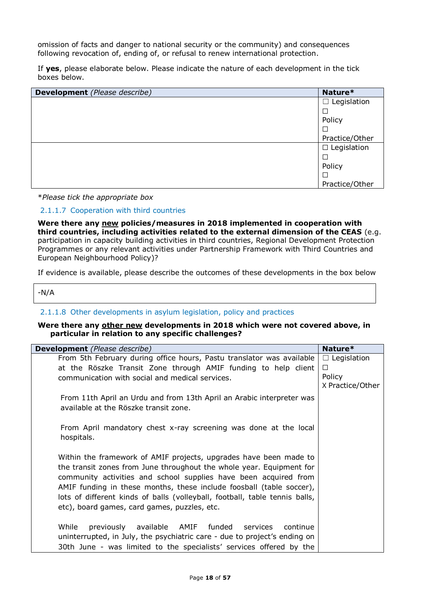omission of facts and danger to national security or the community) and consequences following revocation of, ending of, or refusal to renew international protection.

If **yes**, please elaborate below. Please indicate the nature of each development in the tick boxes below.

| Development (Please describe) | Nature*            |
|-------------------------------|--------------------|
|                               | $\Box$ Legislation |
|                               |                    |
|                               | Policy             |
|                               |                    |
|                               | Practice/Other     |
|                               | $\Box$ Legislation |
|                               |                    |
|                               | Policy             |
|                               |                    |
|                               | Practice/Other     |

\**Please tick the appropriate box*

#### 2.1.1.7 Cooperation with third countries

**Were there any new policies/measures in 2018 implemented in cooperation with third countries, including activities related to the external dimension of the CEAS** (e.g. participation in capacity building activities in third countries, Regional Development Protection Programmes or any relevant activities under Partnership Framework with Third Countries and European Neighbourhood Policy)?

If evidence is available, please describe the outcomes of these developments in the box below

-N/A

#### 2.1.1.8 Other developments in asylum legislation, policy and practices

#### **Were there any other new developments in 2018 which were not covered above, in particular in relation to any specific challenges?**

| <b>Development</b> (Please describe)                                        | Nature*            |
|-----------------------------------------------------------------------------|--------------------|
| From 5th February during office hours, Pastu translator was available       | $\Box$ Legislation |
| at the Röszke Transit Zone through AMIF funding to help client              | □                  |
| communication with social and medical services.                             | Policy             |
|                                                                             | X Practice/Other   |
| From 11th April an Urdu and from 13th April an Arabic interpreter was       |                    |
| available at the Röszke transit zone.                                       |                    |
|                                                                             |                    |
| From April mandatory chest x-ray screening was done at the local            |                    |
| hospitals.                                                                  |                    |
|                                                                             |                    |
| Within the framework of AMIF projects, upgrades have been made to           |                    |
| the transit zones from June throughout the whole year. Equipment for        |                    |
| community activities and school supplies have been acquired from            |                    |
| AMIF funding in these months, these include foosball (table soccer),        |                    |
| lots of different kinds of balls (volleyball, football, table tennis balls, |                    |
| etc), board games, card games, puzzles, etc.                                |                    |
|                                                                             |                    |
| While<br>available AMIF funded<br>previously<br>services<br>continue        |                    |
| uninterrupted, in July, the psychiatric care - due to project's ending on   |                    |
|                                                                             |                    |
| 30th June - was limited to the specialists' services offered by the         |                    |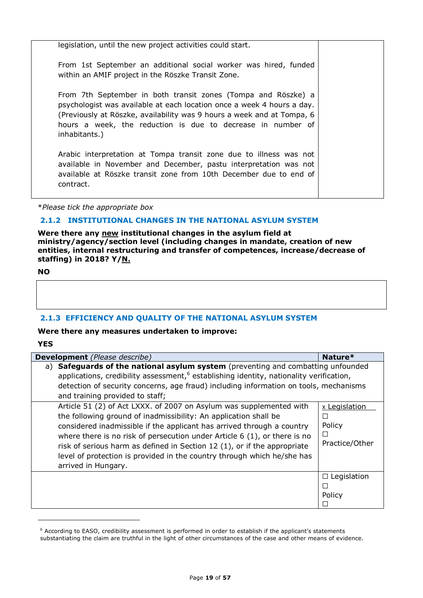| legislation, until the new project activities could start.                                                                                                                                                                                                                                        |  |
|---------------------------------------------------------------------------------------------------------------------------------------------------------------------------------------------------------------------------------------------------------------------------------------------------|--|
| From 1st September an additional social worker was hired, funded<br>within an AMIF project in the Röszke Transit Zone.                                                                                                                                                                            |  |
| From 7th September in both transit zones (Tompa and Röszke) a<br>psychologist was available at each location once a week 4 hours a day.<br>(Previously at Röszke, availability was 9 hours a week and at Tompa, 6<br>hours a week, the reduction is due to decrease in number of<br>inhabitants.) |  |
| Arabic interpretation at Tompa transit zone due to illness was not<br>available in November and December, pastu interpretation was not<br>available at Röszke transit zone from 10th December due to end of<br>contract.                                                                          |  |

#### **2.1.2 INSTITUTIONAL CHANGES IN THE NATIONAL ASYLUM SYSTEM**

**Were there any new institutional changes in the asylum field at ministry/agency/section level (including changes in mandate, creation of new entities, internal restructuring and transfer of competences, increase/decrease of staffing) in 2018? Y/N.**

**NO**

### **2.1.3 EFFICIENCY AND QUALITY OF THE NATIONAL ASYLUM SYSTEM**

### **Were there any measures undertaken to improve:**

**YES**

-

| <b>Development</b> (Please describe)                                                                                                                                                                                                                                                                                                                                                                                                                                           | Nature*                                                                       |
|--------------------------------------------------------------------------------------------------------------------------------------------------------------------------------------------------------------------------------------------------------------------------------------------------------------------------------------------------------------------------------------------------------------------------------------------------------------------------------|-------------------------------------------------------------------------------|
| a) Safeguards of the national asylum system (preventing and combatting unfounded                                                                                                                                                                                                                                                                                                                                                                                               |                                                                               |
| applications, credibility assessment, <sup>6</sup> establishing identity, nationality verification,                                                                                                                                                                                                                                                                                                                                                                            |                                                                               |
| detection of security concerns, age fraud) including information on tools, mechanisms                                                                                                                                                                                                                                                                                                                                                                                          |                                                                               |
| and training provided to staff;                                                                                                                                                                                                                                                                                                                                                                                                                                                |                                                                               |
| Article 51 (2) of Act LXXX. of 2007 on Asylum was supplemented with<br>the following ground of inadmissibility: An application shall be<br>considered inadmissible if the applicant has arrived through a country<br>where there is no risk of persecution under Article $6(1)$ , or there is no<br>risk of serious harm as defined in Section 12 (1), or if the appropriate<br>level of protection is provided in the country through which he/she has<br>arrived in Hungary. | x Legislation<br>$\mathcal{L}_{\mathcal{A}}$<br>Policy<br>□<br>Practice/Other |
|                                                                                                                                                                                                                                                                                                                                                                                                                                                                                | $\Box$ Legislation<br>Policy<br>$\overline{\phantom{a}}$                      |

<sup>6</sup> According to EASO, credibility assessment is performed in order to establish if the applicant's statements substantiating the claim are truthful in the light of other circumstances of the case and other means of evidence.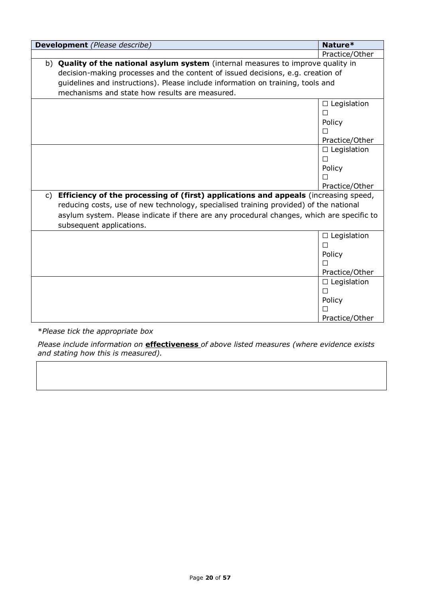| <b>Development</b> (Please describe)                                                                                  | Nature*            |
|-----------------------------------------------------------------------------------------------------------------------|--------------------|
|                                                                                                                       | Practice/Other     |
| b) Quality of the national asylum system (internal measures to improve quality in                                     |                    |
| decision-making processes and the content of issued decisions, e.g. creation of                                       |                    |
| guidelines and instructions). Please include information on training, tools and                                       |                    |
| mechanisms and state how results are measured.                                                                        |                    |
|                                                                                                                       | $\Box$ Legislation |
|                                                                                                                       | П                  |
|                                                                                                                       | Policy             |
|                                                                                                                       |                    |
|                                                                                                                       | Practice/Other     |
|                                                                                                                       | $\Box$ Legislation |
|                                                                                                                       | П                  |
|                                                                                                                       | Policy             |
|                                                                                                                       |                    |
|                                                                                                                       | Practice/Other     |
| Efficiency of the processing of (first) applications and appeals (increasing speed,<br>C)                             |                    |
| reducing costs, use of new technology, specialised training provided) of the national                                 |                    |
| asylum system. Please indicate if there are any procedural changes, which are specific to<br>subsequent applications. |                    |
|                                                                                                                       | $\Box$ Legislation |
|                                                                                                                       | $\Box$             |
|                                                                                                                       | Policy             |
|                                                                                                                       |                    |
|                                                                                                                       | Practice/Other     |
|                                                                                                                       | $\Box$ Legislation |
|                                                                                                                       | $\Box$             |
|                                                                                                                       | Policy             |
|                                                                                                                       |                    |
|                                                                                                                       | Practice/Other     |

*Please include information on* **effectiveness** *of above listed measures (where evidence exists and stating how this is measured).*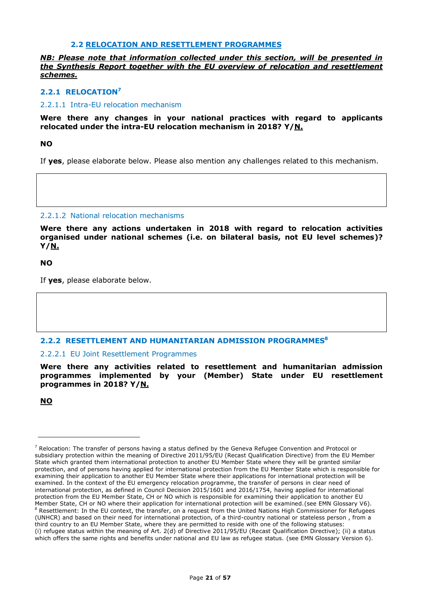#### **2.2 RELOCATION AND RESETTLEMENT PROGRAMMES**

*NB: Please note that information collected under this section, will be presented in the Synthesis Report together with the EU overview of relocation and resettlement schemes.*

### **2.2.1 RELOCATION<sup>7</sup>**

#### 2.2.1.1 Intra-EU relocation mechanism

**Were there any changes in your national practices with regard to applicants relocated under the intra-EU relocation mechanism in 2018? Y/N.**

#### **NO**

If **yes**, please elaborate below. Please also mention any challenges related to this mechanism.

#### 2.2.1.2 National relocation mechanisms

**Were there any actions undertaken in 2018 with regard to relocation activities organised under national schemes (i.e. on bilateral basis, not EU level schemes)? Y/N.**

**NO**

If **yes**, please elaborate below.

#### **2.2.2 RESETTLEMENT AND HUMANITARIAN ADMISSION PROGRAMMES<sup>8</sup>**

#### 2.2.2.1 EU Joint Resettlement Programmes

**Were there any activities related to resettlement and humanitarian admission programmes implemented by your (Member) State under EU resettlement programmes in 2018? Y/N.**

**NO**

-

 $7$  Relocation: The transfer of persons having a status defined by the Geneva Refugee Convention and Protocol or subsidiary protection within the meaning of Directive 2011/95/EU (Recast Qualification Directive) from the EU Member State which granted them international protection to another EU Member State where they will be granted similar protection, and of persons having applied for international protection from the EU Member State which is responsible for examining their application to another EU Member State where their applications for international protection will be examined. In the context of the EU emergency relocation programme, the transfer of persons in clear need of international protection, as defined in Council Decision 2015/1601 and 2016/1754, having applied for international protection from the EU Member State, CH or NO which is responsible for examining their application to another EU Member State, CH or NO where their application for international protection will be examined.(see EMN Glossary V6).  $8$  Resettlement: In the EU context, the transfer, on a request from the United Nations High Commissioner for Refugees (UNHCR) and based on their need for international protection, of a third-country national or stateless person , from a third country to an EU Member State, where they are permitted to reside with one of the following statuses: (i) refugee status within the meaning of Art. 2(d) of Directive 2011/95/EU (Recast Qualification Directive); (ii) a status which offers the same rights and benefits under national and EU law as refugee status. (see EMN Glossary Version 6).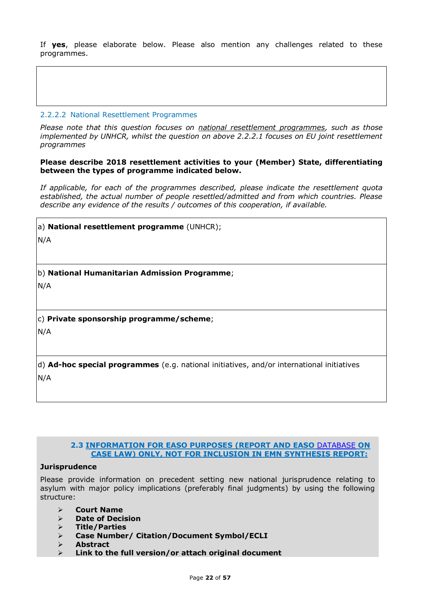If **yes**, please elaborate below. Please also mention any challenges related to these programmes.

### 2.2.2.2 National Resettlement Programmes

*Please note that this question focuses on national resettlement programmes, such as those implemented by UNHCR, whilst the question on above 2.2.2.1 focuses on EU joint resettlement programmes*

#### **Please describe 2018 resettlement activities to your (Member) State, differentiating between the types of programme indicated below.**

*If applicable, for each of the programmes described, please indicate the resettlement quota established, the actual number of people resettled/admitted and from which countries. Please describe any evidence of the results / outcomes of this cooperation, if available.*

a) **National resettlement programme** (UNHCR);

N/A

b) **National Humanitarian Admission Programme**;

N/A

c) **Private sponsorship programme/scheme**;

N/A

d) **Ad-hoc special programmes** (e.g. national initiatives, and/or international initiatives N/A

### **2.3 INFORMATION FOR EASO PURPOSES (REPORT AND EASO** [DATABASE](https://caselaw.easo.europa.eu/Pages/default.aspx) **ON CASE LAW) ONLY, NOT FOR INCLUSION IN EMN SYNTHESIS REPORT:**

### **Jurisprudence**

Please provide information on precedent setting new national jurisprudence relating to asylum with major policy implications (preferably final judgments) by using the following structure:

- **Court Name**
- **Date of Decision**
- **Title/Parties**
- **Case Number/ Citation/Document Symbol/ECLI**
- **Abstract**
- **Link to the full version/or attach original document**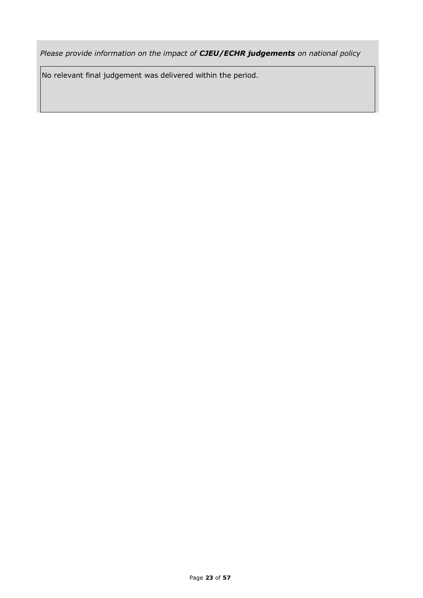*Please provide information on the impact of CJEU/ECHR judgements on national policy*

No relevant final judgement was delivered within the period.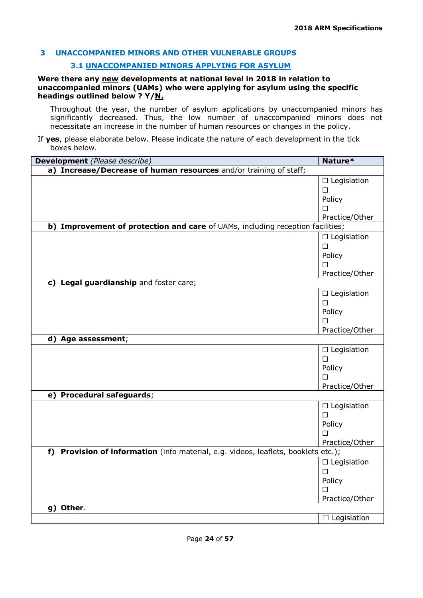# **3 UNACCOMPANIED MINORS AND OTHER VULNERABLE GROUPS**

### **3.1 UNACCOMPANIED MINORS APPLYING FOR ASYLUM**

#### **Were there any new developments at national level in 2018 in relation to unaccompanied minors (UAMs) who were applying for asylum using the specific headings outlined below ? Y/N.**

Throughout the year, the number of asylum applications by unaccompanied minors has significantly decreased. Thus, the low number of unaccompanied minors does not necessitate an increase in the number of human resources or changes in the policy.

| Development (Please describe)                                                        | Nature*            |
|--------------------------------------------------------------------------------------|--------------------|
| a) Increase/Decrease of human resources and/or training of staff;                    |                    |
|                                                                                      | $\Box$ Legislation |
|                                                                                      | □                  |
|                                                                                      | Policy             |
|                                                                                      | $\Box$             |
|                                                                                      | Practice/Other     |
| b) Improvement of protection and care of UAMs, including reception facilities;       |                    |
|                                                                                      | $\Box$ Legislation |
|                                                                                      | $\Box$             |
|                                                                                      | Policy             |
|                                                                                      | □                  |
|                                                                                      | Practice/Other     |
| c) Legal guardianship and foster care;                                               |                    |
|                                                                                      | $\Box$ Legislation |
|                                                                                      | $\Box$             |
|                                                                                      | Policy             |
|                                                                                      | П                  |
|                                                                                      | Practice/Other     |
| d) Age assessment;                                                                   |                    |
|                                                                                      | $\Box$ Legislation |
|                                                                                      | $\Box$             |
|                                                                                      | Policy             |
|                                                                                      | П                  |
|                                                                                      | Practice/Other     |
| e) Procedural safeguards;                                                            |                    |
|                                                                                      | $\Box$ Legislation |
|                                                                                      | $\Box$             |
|                                                                                      | Policy             |
|                                                                                      | $\Box$             |
|                                                                                      | Practice/Other     |
| Provision of information (info material, e.g. videos, leaflets, booklets etc.);<br>f |                    |
|                                                                                      | $\Box$ Legislation |
|                                                                                      | $\Box$             |
|                                                                                      | Policy             |
|                                                                                      | П                  |
|                                                                                      | Practice/Other     |
| g) Other.                                                                            |                    |
|                                                                                      | $\Box$ Legislation |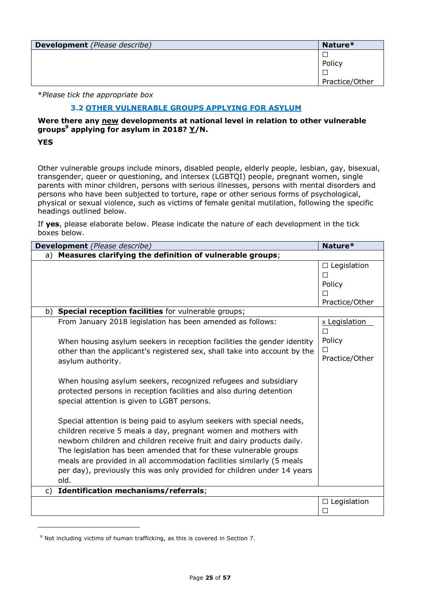| <b>Development</b> (Please describe) | Nature*        |
|--------------------------------------|----------------|
|                                      |                |
|                                      | Policy         |
|                                      |                |
|                                      | Practice/Other |

### **3.2 OTHER VULNERABLE GROUPS APPLYING FOR ASYLUM**

**Were there any new developments at national level in relation to other vulnerable groups<sup>9</sup> applying for asylum in 2018? Y/N.**

**YES**

ł

Other vulnerable groups include minors, disabled people, elderly people, lesbian, gay, bisexual, transgender, queer or questioning, and intersex (LGBTQI) people, pregnant women, single parents with minor children, persons with serious illnesses, persons with mental disorders and persons who have been subjected to torture, rape or other serious forms of psychological, physical or sexual violence, such as victims of female genital mutilation, following the specific headings outlined below.

|    | Development (Please describe)                                                                                                                                                                                                                                                                                                                                                                                                                      | Nature*                                                  |
|----|----------------------------------------------------------------------------------------------------------------------------------------------------------------------------------------------------------------------------------------------------------------------------------------------------------------------------------------------------------------------------------------------------------------------------------------------------|----------------------------------------------------------|
| a) | Measures clarifying the definition of vulnerable groups;                                                                                                                                                                                                                                                                                                                                                                                           |                                                          |
|    |                                                                                                                                                                                                                                                                                                                                                                                                                                                    | $\Box$ Legislation<br>П<br>Policy<br>П<br>Practice/Other |
|    | b) Special reception facilities for vulnerable groups;                                                                                                                                                                                                                                                                                                                                                                                             |                                                          |
|    | From January 2018 legislation has been amended as follows:<br>When housing asylum seekers in reception facilities the gender identity                                                                                                                                                                                                                                                                                                              | x Legislation<br>П<br>Policy                             |
|    | other than the applicant's registered sex, shall take into account by the<br>asylum authority.                                                                                                                                                                                                                                                                                                                                                     | Practice/Other                                           |
|    | When housing asylum seekers, recognized refugees and subsidiary<br>protected persons in reception facilities and also during detention<br>special attention is given to LGBT persons.                                                                                                                                                                                                                                                              |                                                          |
|    | Special attention is being paid to asylum seekers with special needs,<br>children receive 5 meals a day, pregnant women and mothers with<br>newborn children and children receive fruit and dairy products daily.<br>The legislation has been amended that for these vulnerable groups<br>meals are provided in all accommodation facilities similarly (5 meals<br>per day), previously this was only provided for children under 14 years<br>old. |                                                          |
| C) | Identification mechanisms/referrals;                                                                                                                                                                                                                                                                                                                                                                                                               |                                                          |
|    |                                                                                                                                                                                                                                                                                                                                                                                                                                                    | $\Box$ Legislation<br>П                                  |

 $9$  Not including victims of human trafficking, as this is covered in Section 7.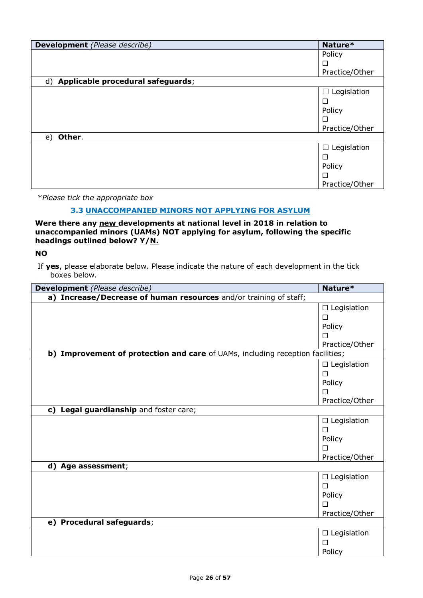| <b>Development</b> (Please describe) | Nature*          |
|--------------------------------------|------------------|
|                                      | Policy           |
|                                      |                  |
|                                      | Practice/Other   |
| d) Applicable procedural safeguards; |                  |
|                                      | Legislation<br>⊔ |
|                                      | $\Box$           |
|                                      | Policy           |
|                                      |                  |
|                                      | Practice/Other   |
| Other.<br>e)                         |                  |
|                                      | Legislation      |
|                                      | ப                |
|                                      | Policy           |
|                                      |                  |
|                                      | Practice/Other   |

### **3.3 UNACCOMPANIED MINORS NOT APPLYING FOR ASYLUM**

**Were there any new developments at national level in 2018 in relation to unaccompanied minors (UAMs) NOT applying for asylum, following the specific headings outlined below? Y/N.**

### **NO**

If **yes**, please elaborate below. Please indicate the nature of each development in the tick  $\overleftrightarrow{b}$  boxes below.

| <b>Development</b> (Please describe)                                           | Nature*            |
|--------------------------------------------------------------------------------|--------------------|
| a) Increase/Decrease of human resources and/or training of staff;              |                    |
|                                                                                | $\Box$ Legislation |
|                                                                                | □                  |
|                                                                                | Policy             |
|                                                                                | П                  |
|                                                                                | Practice/Other     |
| b) Improvement of protection and care of UAMs, including reception facilities; |                    |
|                                                                                | $\Box$ Legislation |
|                                                                                | $\Box$             |
|                                                                                | Policy             |
|                                                                                | $\Box$             |
|                                                                                | Practice/Other     |
| c) Legal guardianship and foster care;                                         |                    |
|                                                                                | $\Box$ Legislation |
|                                                                                | $\Box$             |
|                                                                                | Policy             |
|                                                                                |                    |
|                                                                                | Practice/Other     |
| d) Age assessment;                                                             |                    |
|                                                                                | $\Box$ Legislation |
|                                                                                | $\Box$             |
|                                                                                | Policy             |
|                                                                                | П                  |
|                                                                                | Practice/Other     |
| e) Procedural safeguards;                                                      |                    |
|                                                                                | $\Box$ Legislation |
|                                                                                | $\Box$             |
|                                                                                | Policy             |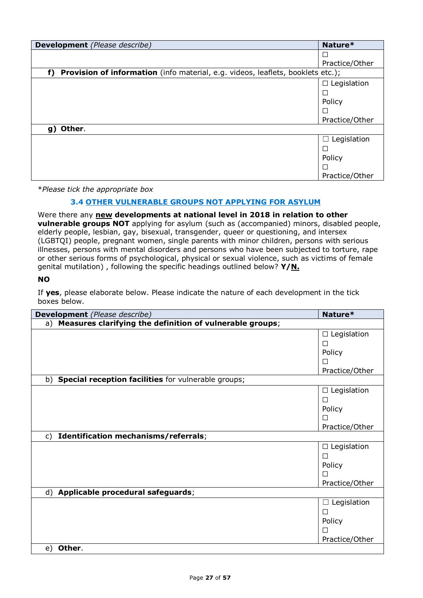| <b>Development</b> (Please describe)                                                  | Nature*               |
|---------------------------------------------------------------------------------------|-----------------------|
|                                                                                       |                       |
|                                                                                       | Practice/Other        |
| Provision of information (info material, e.g. videos, leaflets, booklets etc.);<br>f) |                       |
|                                                                                       | Legislation<br>$\Box$ |
|                                                                                       |                       |
|                                                                                       | Policy                |
|                                                                                       |                       |
|                                                                                       | Practice/Other        |
| Other.<br>g)                                                                          |                       |
|                                                                                       | Legislation<br>П      |
|                                                                                       |                       |
|                                                                                       | Policy                |
|                                                                                       |                       |
|                                                                                       | Practice/Other        |

### **3.4 OTHER VULNERABLE GROUPS NOT APPLYING FOR ASYLUM**

Were there any **new developments at national level in 2018 in relation to other vulnerable groups NOT** applying for asylum (such as (accompanied) minors, disabled people, elderly people, lesbian, gay, bisexual, transgender, queer or questioning, and intersex (LGBTQI) people, pregnant women, single parents with minor children, persons with serious illnesses, persons with mental disorders and persons who have been subjected to torture, rape or other serious forms of psychological, physical or sexual violence, such as victims of female genital mutilation) , following the specific headings outlined below? **Y/N.**

### **NO**

| Development (Please describe)                               | Nature*               |
|-------------------------------------------------------------|-----------------------|
| a) Measures clarifying the definition of vulnerable groups; |                       |
|                                                             | $\Box$ Legislation    |
|                                                             | $\Box$                |
|                                                             | Policy                |
|                                                             | П                     |
|                                                             | Practice/Other        |
| Special reception facilities for vulnerable groups;<br>b)   |                       |
|                                                             | Legislation<br>$\Box$ |
|                                                             | □                     |
|                                                             | Policy                |
|                                                             | П                     |
|                                                             | Practice/Other        |
| Identification mechanisms/referrals;<br>c)                  |                       |
|                                                             | $\Box$ Legislation    |
|                                                             | П                     |
|                                                             | Policy                |
|                                                             | П                     |
|                                                             | Practice/Other        |
| Applicable procedural safeguards;<br>d)                     |                       |
|                                                             | Legislation<br>٦      |
|                                                             | □                     |
|                                                             | Policy                |
|                                                             |                       |
|                                                             | Practice/Other        |
| Other.<br>e)                                                |                       |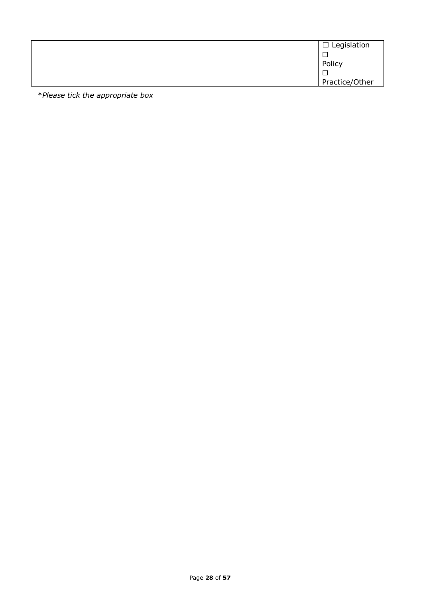| $\Box$ Legislation |
|--------------------|
|                    |
| Policy             |
| ┍                  |
| Practice/Other     |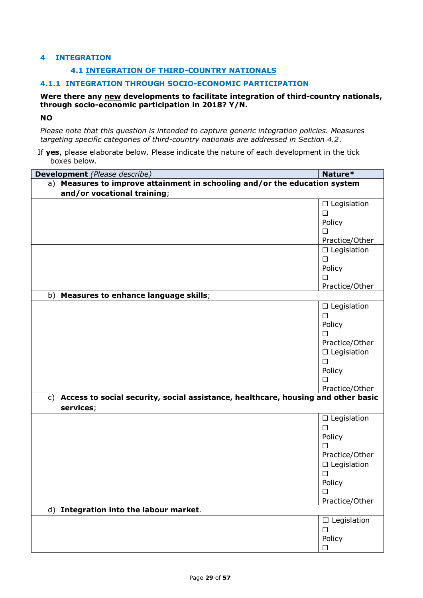### **4 INTEGRATION**

### **4.1 INTEGRATION OF THIRD-COUNTRY NATIONALS**

### **4.1.1 INTEGRATION THROUGH SOCIO-ECONOMIC PARTICIPATION**

#### **Were there any new developments to facilitate integration of third-country nationals, through socio-economic participation in 2018? Y/N.**

#### **NO**

*Please note that this question is intended to capture generic integration policies. Measures targeting specific categories of third-country nationals are addressed in Section 4.2*.

| Development (Please describe)                                                        | Nature*            |
|--------------------------------------------------------------------------------------|--------------------|
| a) Measures to improve attainment in schooling and/or the education system           |                    |
| and/or vocational training;                                                          |                    |
|                                                                                      | $\Box$ Legislation |
|                                                                                      | $\Box$             |
|                                                                                      | Policy             |
|                                                                                      | П                  |
|                                                                                      | Practice/Other     |
|                                                                                      | $\Box$ Legislation |
|                                                                                      | $\Box$             |
|                                                                                      | Policy             |
|                                                                                      | П                  |
|                                                                                      | Practice/Other     |
| b) Measures to enhance language skills;                                              |                    |
|                                                                                      | $\Box$ Legislation |
|                                                                                      | $\Box$             |
|                                                                                      | Policy             |
|                                                                                      | П                  |
|                                                                                      | Practice/Other     |
|                                                                                      | $\Box$ Legislation |
|                                                                                      | $\Box$             |
|                                                                                      | Policy             |
|                                                                                      | П                  |
|                                                                                      | Practice/Other     |
| c) Access to social security, social assistance, healthcare, housing and other basic |                    |
| services;                                                                            |                    |
|                                                                                      | $\Box$ Legislation |
|                                                                                      | $\Box$             |
|                                                                                      | Policy             |
|                                                                                      | $\Box$             |
|                                                                                      | Practice/Other     |
|                                                                                      | $\Box$ Legislation |
|                                                                                      | $\Box$             |
|                                                                                      | Policy             |
|                                                                                      | □                  |
|                                                                                      | Practice/Other     |
| Integration into the labour market.<br>d)                                            |                    |
|                                                                                      | $\Box$ Legislation |
|                                                                                      | $\Box$             |
|                                                                                      | Policy             |
|                                                                                      | □                  |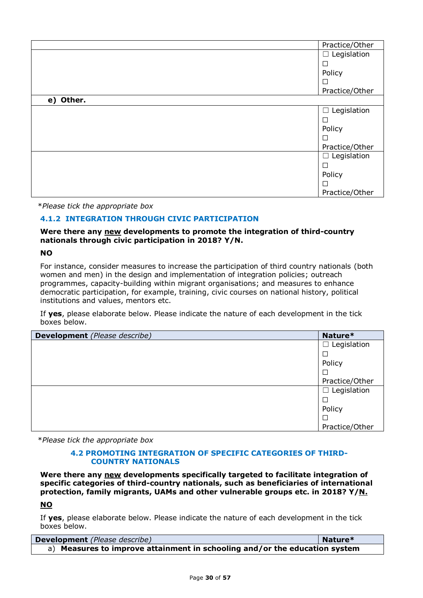|           | Practice/Other        |
|-----------|-----------------------|
|           | $\Box$ Legislation    |
|           | □                     |
|           | Policy                |
|           | $\Box$                |
|           | Practice/Other        |
| e) Other. |                       |
|           | Legislation<br>$\Box$ |
|           | Ш                     |
|           | Policy                |
|           | $\Box$                |
|           | Practice/Other        |
|           | $\Box$ Legislation    |
|           | $\Box$                |
|           | Policy                |
|           | $\Box$                |
|           | Practice/Other        |

### **4.1.2 INTEGRATION THROUGH CIVIC PARTICIPATION**

### **Were there any new developments to promote the integration of third-country nationals through civic participation in 2018? Y/N.**

### **NO**

For instance, consider measures to increase the participation of third country nationals (both women and men) in the design and implementation of integration policies; outreach programmes, capacity-building within migrant organisations; and measures to enhance democratic participation, for example, training, civic courses on national history, political institutions and values, mentors etc.

If **yes**, please elaborate below. Please indicate the nature of each development in the tick boxes below.

| <b>Development</b> (Please describe) | Nature*            |
|--------------------------------------|--------------------|
|                                      | $\Box$ Legislation |
|                                      |                    |
|                                      | Policy             |
|                                      |                    |
|                                      | Practice/Other     |
|                                      | $\Box$ Legislation |
|                                      |                    |
|                                      | Policy             |
|                                      |                    |
|                                      | Practice/Other     |

\**Please tick the appropriate box*

#### **4.2 PROMOTING INTEGRATION OF SPECIFIC CATEGORIES OF THIRD-COUNTRY NATIONALS**

**Were there any new developments specifically targeted to facilitate integration of specific categories of third-country nationals, such as beneficiaries of international protection, family migrants, UAMs and other vulnerable groups etc. in 2018? Y/N.**

### **NO**

| Development (Please describe)                                              | Nature* |
|----------------------------------------------------------------------------|---------|
| a) Measures to improve attainment in schooling and/or the education system |         |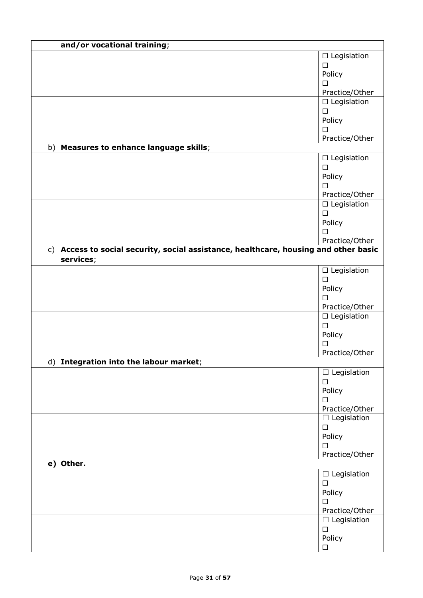| and/or vocational training;                                                                       |                     |
|---------------------------------------------------------------------------------------------------|---------------------|
|                                                                                                   | $\Box$ Legislation  |
|                                                                                                   | $\Box$              |
|                                                                                                   | Policy              |
|                                                                                                   | $\Box$              |
|                                                                                                   | Practice/Other      |
|                                                                                                   | $\Box$ Legislation  |
|                                                                                                   | $\Box$              |
|                                                                                                   | Policy              |
|                                                                                                   | □<br>Practice/Other |
| b) Measures to enhance language skills;                                                           |                     |
|                                                                                                   | $\Box$ Legislation  |
|                                                                                                   | $\Box$              |
|                                                                                                   | Policy              |
|                                                                                                   | $\Box$              |
|                                                                                                   | Practice/Other      |
|                                                                                                   | $\Box$ Legislation  |
|                                                                                                   | $\Box$              |
|                                                                                                   | Policy              |
|                                                                                                   | □                   |
|                                                                                                   | Practice/Other      |
| c) Access to social security, social assistance, healthcare, housing and other basic<br>services; |                     |
|                                                                                                   | $\Box$ Legislation  |
|                                                                                                   | $\Box$              |
|                                                                                                   | Policy              |
|                                                                                                   | П                   |
|                                                                                                   | Practice/Other      |
|                                                                                                   | $\Box$ Legislation  |
|                                                                                                   | $\Box$<br>Policy    |
|                                                                                                   | $\Box$              |
|                                                                                                   | Practice/Other      |
| d) Integration into the labour market;                                                            |                     |
|                                                                                                   | $\Box$ Legislation  |
|                                                                                                   | $\Box$              |
|                                                                                                   | Policy              |
|                                                                                                   | П.                  |
|                                                                                                   | Practice/Other      |
|                                                                                                   | $\Box$ Legislation  |
|                                                                                                   | $\Box$              |
|                                                                                                   | Policy<br>$\Box$    |
|                                                                                                   | Practice/Other      |
| e) Other.                                                                                         |                     |
|                                                                                                   | $\Box$ Legislation  |
|                                                                                                   | $\Box$              |
|                                                                                                   | Policy              |
|                                                                                                   | $\Box$              |
|                                                                                                   | Practice/Other      |
|                                                                                                   | $\Box$ Legislation  |
|                                                                                                   | $\Box$              |
|                                                                                                   | Policy              |
|                                                                                                   | □                   |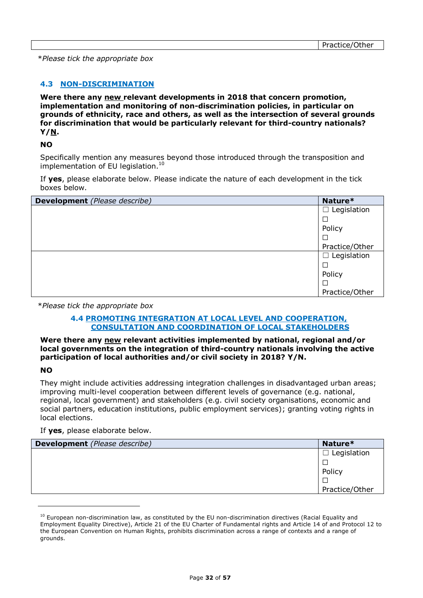### **4.3 NON-DISCRIMINATION**

**Were there any new relevant developments in 2018 that concern promotion, implementation and monitoring of non-discrimination policies, in particular on grounds of ethnicity, race and others, as well as the intersection of several grounds for discrimination that would be particularly relevant for third-country nationals? Y/N.**

#### **NO**

Specifically mention any measures beyond those introduced through the transposition and implementation of EU legislation.<sup>10</sup>

If **yes**, please elaborate below. Please indicate the nature of each development in the tick boxes below.

| Development (Please describe) | Nature*            |
|-------------------------------|--------------------|
|                               | $\Box$ Legislation |
|                               |                    |
|                               | Policy             |
|                               |                    |
|                               | Practice/Other     |
|                               | $\Box$ Legislation |
|                               |                    |
|                               | Policy             |
|                               |                    |
|                               | Practice/Other     |

\**Please tick the appropriate box*

#### **4.4 PROMOTING INTEGRATION AT LOCAL LEVEL AND COOPERATION, CONSULTATION AND COORDINATION OF LOCAL STAKEHOLDERS**

#### **Were there any new relevant activities implemented by national, regional and/or local governments on the integration of third-country nationals involving the active participation of local authorities and/or civil society in 2018? Y/N.**

#### **NO**

ł

They might include activities addressing integration challenges in disadvantaged urban areas; improving multi-level cooperation between different levels of governance (e.g. national, regional, local government) and stakeholders (e.g. civil society organisations, economic and social partners, education institutions, public employment services); granting voting rights in local elections.

#### If **yes**, please elaborate below.

| <b>Development</b> (Please describe) | Nature*        |
|--------------------------------------|----------------|
|                                      | Legislation    |
|                                      |                |
|                                      | Policy         |
|                                      |                |
|                                      | Practice/Other |

 $10$  European non-discrimination law, as constituted by the EU non-discrimination directives (Racial Equality and Employment Equality Directive), Article 21 of the EU Charter of Fundamental rights and Article 14 of and Protocol 12 to the European Convention on Human Rights, prohibits discrimination across a range of contexts and a range of grounds.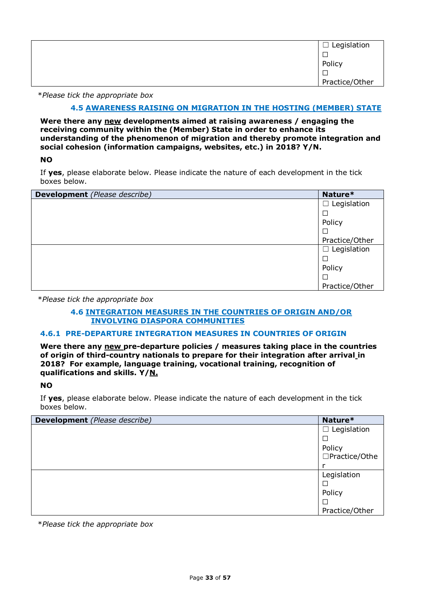| $\Box$ Legislation |
|--------------------|
|                    |
| Policy             |
|                    |
| Practice/Other     |

#### **4.5 AWARENESS RAISING ON MIGRATION IN THE HOSTING (MEMBER) STATE**

**Were there any new developments aimed at raising awareness / engaging the receiving community within the (Member) State in order to enhance its understanding of the phenomenon of migration and thereby promote integration and social cohesion (information campaigns, websites, etc.) in 2018? Y/N.**

**NO**

If **yes**, please elaborate below. Please indicate the nature of each development in the tick boxes below.

| <b>Development</b> (Please describe) | Nature*            |
|--------------------------------------|--------------------|
|                                      | $\Box$ Legislation |
|                                      | $\Box$             |
|                                      | Policy             |
|                                      | $\Box$             |
|                                      | Practice/Other     |
|                                      | $\Box$ Legislation |
|                                      | $\Box$             |
|                                      | Policy             |
|                                      | $\Box$             |
|                                      | Practice/Other     |

\**Please tick the appropriate box*

#### **4.6 INTEGRATION MEASURES IN THE COUNTRIES OF ORIGIN AND/OR INVOLVING DIASPORA COMMUNITIES**

### **4.6.1 PRE-DEPARTURE INTEGRATION MEASURES IN COUNTRIES OF ORIGIN**

**Were there any new pre-departure policies / measures taking place in the countries of origin of third-country nationals to prepare for their integration after arrival in 2018? For example, language training, vocational training, recognition of qualifications and skills. Y/N.**

#### **NO**

If **yes**, please elaborate below. Please indicate the nature of each development in the tick boxes below.

| <b>Development</b> (Please describe) | Nature*            |
|--------------------------------------|--------------------|
|                                      | $\Box$ Legislation |
|                                      |                    |
|                                      | Policy             |
|                                      | □Practice/Othe     |
|                                      |                    |
|                                      | Legislation        |
|                                      |                    |
|                                      | Policy             |
|                                      |                    |
|                                      | Practice/Other     |

\**Please tick the appropriate box*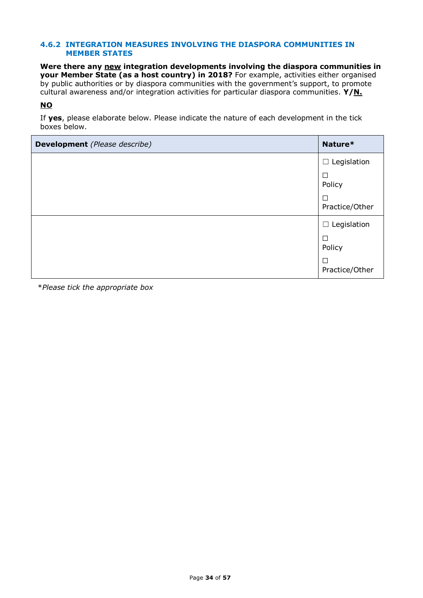#### **4.6.2 INTEGRATION MEASURES INVOLVING THE DIASPORA COMMUNITIES IN MEMBER STATES**

**Were there any new integration developments involving the diaspora communities in your Member State (as a host country) in 2018?** For example, activities either organised by public authorities or by diaspora communities with the government's support, to promote cultural awareness and/or integration activities for particular diaspora communities. **Y/N.**

### **NO**

If **yes**, please elaborate below. Please indicate the nature of each development in the tick boxes below.

| <b>Development</b> (Please describe) | Nature*                  |
|--------------------------------------|--------------------------|
|                                      | $\Box$ Legislation       |
|                                      | □<br>Policy              |
|                                      | $\Box$<br>Practice/Other |
|                                      | $\Box$ Legislation       |
|                                      | □<br>Policy              |
|                                      | □<br>Practice/Other      |

\**Please tick the appropriate box*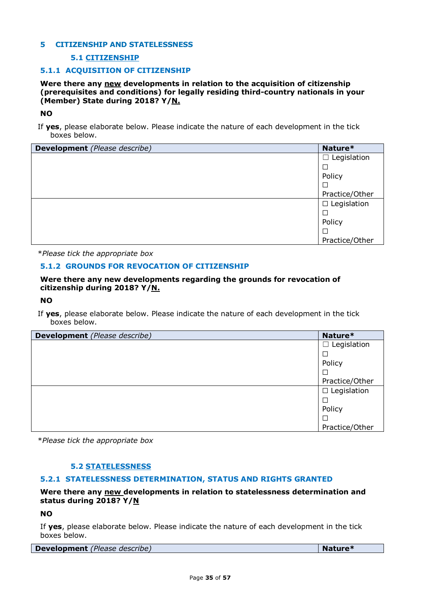### **5 CITIZENSHIP AND STATELESSNESS**

### **5.1 CITIZENSHIP**

#### **5.1.1 ACQUISITION OF CITIZENSHIP**

**Were there any new developments in relation to the acquisition of citizenship (prerequisites and conditions) for legally residing third-country nationals in your (Member) State during 2018? Y/N.**

#### **NO**

If **yes**, please elaborate below. Please indicate the nature of each development in the tick boxes below.

| <b>Development</b> (Please describe) | Nature*            |
|--------------------------------------|--------------------|
|                                      | Legislation<br>┚   |
|                                      |                    |
|                                      | Policy             |
|                                      |                    |
|                                      | Practice/Other     |
|                                      | $\Box$ Legislation |
|                                      |                    |
|                                      | Policy             |
|                                      |                    |
|                                      | Practice/Other     |

\**Please tick the appropriate box*

#### **5.1.2 GROUNDS FOR REVOCATION OF CITIZENSHIP**

#### **Were there any new developments regarding the grounds for revocation of citizenship during 2018? Y/N.**

#### **NO**

If **yes**, please elaborate below. Please indicate the nature of each development in the tick boxes below.

| <b>Development</b> (Please describe) | Nature*               |
|--------------------------------------|-----------------------|
|                                      | Legislation<br>$\Box$ |
|                                      |                       |
|                                      | Policy                |
|                                      |                       |
|                                      | Practice/Other        |
|                                      | $\Box$ Legislation    |
|                                      |                       |
|                                      | Policy                |
|                                      | □                     |
|                                      | Practice/Other        |

\**Please tick the appropriate box*

#### **5.2 STATELESSNESS**

#### **5.2.1 STATELESSNESS DETERMINATION, STATUS AND RIGHTS GRANTED**

### **Were there any new developments in relation to statelessness determination and status during 2018? Y/N**

#### **NO**

|  | <b>Development</b> (Please describe) |  | Nature* |
|--|--------------------------------------|--|---------|
|--|--------------------------------------|--|---------|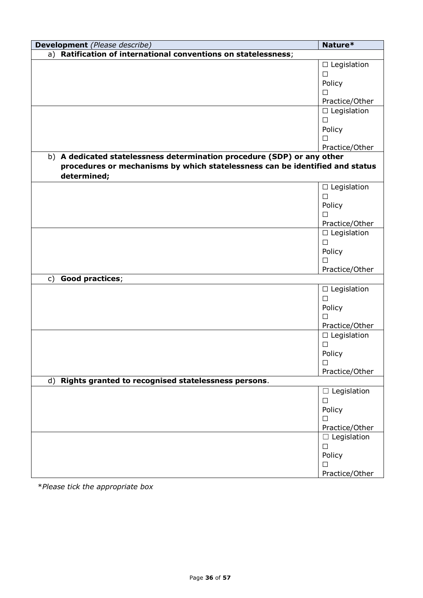| Development (Please describe)                                                | Nature*            |
|------------------------------------------------------------------------------|--------------------|
| Ratification of international conventions on statelessness;<br>a)            |                    |
|                                                                              | $\Box$ Legislation |
|                                                                              | $\Box$             |
|                                                                              | Policy             |
|                                                                              | $\Box$             |
|                                                                              | Practice/Other     |
|                                                                              | $\Box$ Legislation |
|                                                                              | $\Box$             |
|                                                                              | Policy             |
|                                                                              | $\Box$             |
|                                                                              | Practice/Other     |
| b) A dedicated statelessness determination procedure (SDP) or any other      |                    |
| procedures or mechanisms by which statelessness can be identified and status |                    |
| determined;                                                                  |                    |
|                                                                              | $\Box$ Legislation |
|                                                                              | $\Box$             |
|                                                                              | Policy             |
|                                                                              | $\Box$             |
|                                                                              | Practice/Other     |
|                                                                              | $\Box$ Legislation |
|                                                                              | $\Box$             |
|                                                                              | Policy             |
|                                                                              | П                  |
|                                                                              | Practice/Other     |
| Good practices;<br>$\mathsf{C}$                                              |                    |
|                                                                              | $\Box$ Legislation |
|                                                                              | $\Box$             |
|                                                                              | Policy             |
|                                                                              | $\Box$             |
|                                                                              | Practice/Other     |
|                                                                              | $\Box$ Legislation |
|                                                                              | $\Box$             |
|                                                                              | Policy             |
|                                                                              | □                  |
|                                                                              | Practice/Other     |
| d) Rights granted to recognised statelessness persons.                       |                    |
|                                                                              | $\Box$ Legislation |
|                                                                              | $\Box$             |
|                                                                              | Policy             |
|                                                                              | П                  |
|                                                                              | Practice/Other     |
|                                                                              | $\Box$ Legislation |
|                                                                              | $\Box$             |
|                                                                              | Policy             |
|                                                                              | □                  |
|                                                                              | Practice/Other     |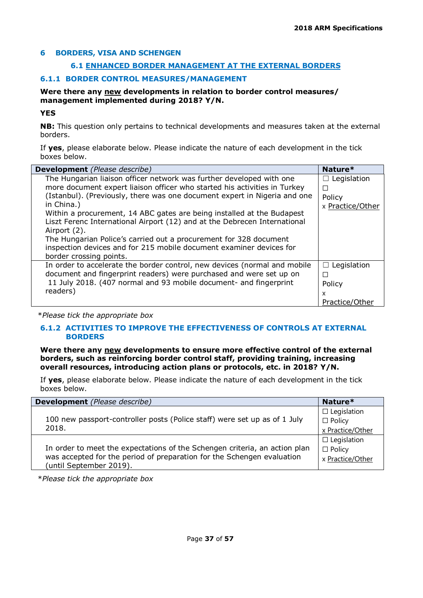### **6 BORDERS, VISA AND SCHENGEN**

### **6.1 ENHANCED BORDER MANAGEMENT AT THE EXTERNAL BORDERS**

### **6.1.1 BORDER CONTROL MEASURES/MANAGEMENT**

### **Were there any new developments in relation to border control measures/ management implemented during 2018? Y/N.**

### **YES**

**NB:** This question only pertains to technical developments and measures taken at the external borders.

If **yes**, please elaborate below. Please indicate the nature of each development in the tick boxes below.

| <b>Development</b> (Please describe)                                      | Nature*            |
|---------------------------------------------------------------------------|--------------------|
| The Hungarian liaison officer network was further developed with one      | $\Box$ Legislation |
| more document expert liaison officer who started his activities in Turkey | П                  |
| (Istanbul). (Previously, there was one document expert in Nigeria and one | Policy             |
| in China.)                                                                | x Practice/Other   |
| Within a procurement, 14 ABC gates are being installed at the Budapest    |                    |
| Liszt Ferenc International Airport (12) and at the Debrecen International |                    |
| Airport (2).                                                              |                    |
| The Hungarian Police's carried out a procurement for 328 document         |                    |
| inspection devices and for 215 mobile document examiner devices for       |                    |
| border crossing points.                                                   |                    |
| In order to accelerate the border control, new devices (normal and mobile | $\Box$ Legislation |
| document and fingerprint readers) were purchased and were set up on       | П                  |
| 11 July 2018. (407 normal and 93 mobile document- and fingerprint         | Policy             |
| readers)                                                                  | x                  |
|                                                                           | Practice/Other     |

\**Please tick the appropriate box*

### **6.1.2 ACTIVITIES TO IMPROVE THE EFFECTIVENESS OF CONTROLS AT EXTERNAL BORDERS**

**Were there any new developments to ensure more effective control of the external borders, such as reinforcing border control staff, providing training, increasing overall resources, introducing action plans or protocols, etc. in 2018? Y/N.**

If **yes**, please elaborate below. Please indicate the nature of each development in the tick boxes below.

| <b>Development</b> (Please describe)                                                                                                                                            | Nature*                                                 |
|---------------------------------------------------------------------------------------------------------------------------------------------------------------------------------|---------------------------------------------------------|
| 100 new passport-controller posts (Police staff) were set up as of 1 July<br>2018.                                                                                              | $\Box$ Legislation<br>$\Box$ Policy<br>x Practice/Other |
| In order to meet the expectations of the Schengen criteria, an action plan<br>was accepted for the period of preparation for the Schengen evaluation<br>(until September 2019). | $\Box$ Legislation<br>$\Box$ Policy<br>x Practice/Other |

\**Please tick the appropriate box*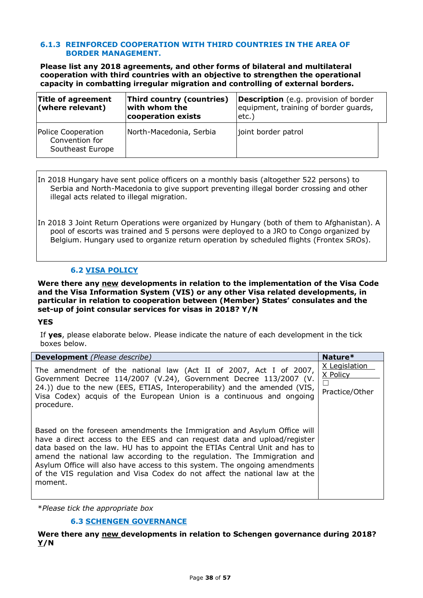#### **6.1.3 REINFORCED COOPERATION WITH THIRD COUNTRIES IN THE AREA OF BORDER MANAGEMENT.**

**Please list any 2018 agreements, and other forms of bilateral and multilateral cooperation with third countries with an objective to strengthen the operational capacity in combatting irregular migration and controlling of external borders.** 

| Title of agreement<br>(where relevant)                   | Third country (countries)<br>with whom the<br>cooperation exists | <b>Description</b> (e.g. provision of border<br>equipment, training of border guards,<br>etc.) |
|----------------------------------------------------------|------------------------------------------------------------------|------------------------------------------------------------------------------------------------|
| Police Cooperation<br>Convention for<br>Southeast Europe | North-Macedonia, Serbia                                          | joint border patrol                                                                            |

In 2018 Hungary have sent police officers on a monthly basis (altogether 522 persons) to Serbia and North-Macedonia to give support preventing illegal border crossing and other illegal acts related to illegal migration.

In 2018 3 Joint Return Operations were organized by Hungary (both of them to Afghanistan). A pool of escorts was trained and 5 persons were deployed to a JRO to Congo organized by Belgium. Hungary used to organize return operation by scheduled flights (Frontex SROs).

### **6.2 VISA POLICY**

**Were there any new developments in relation to the implementation of the Visa Code and the Visa Information System (VIS) or any other Visa related developments, in particular in relation to cooperation between (Member) States' consulates and the set-up of joint consular services for visas in 2018? Y/N**

#### **YES**

If **yes**, please elaborate below. Please indicate the nature of each development in the tick boxes below.

| <b>Development</b> (Please describe)                                                                                                                                                                                                                                                                                                                                                                                                                                                | Nature*                                                |
|-------------------------------------------------------------------------------------------------------------------------------------------------------------------------------------------------------------------------------------------------------------------------------------------------------------------------------------------------------------------------------------------------------------------------------------------------------------------------------------|--------------------------------------------------------|
| The amendment of the national law (Act II of 2007, Act I of 2007,<br>Government Decree 114/2007 (V.24), Government Decree 113/2007 (V.<br>24.)) due to the new (EES, ETIAS, Interoperability) and the amended (VIS,<br>Visa Codex) acquis of the European Union is a continuous and ongoing<br>procedure.                                                                                                                                                                           | X Legislation<br>X Policy<br>$\perp$<br>Practice/Other |
| Based on the foreseen amendments the Immigration and Asylum Office will<br>have a direct access to the EES and can request data and upload/register<br>data based on the law. HU has to appoint the ETIAs Central Unit and has to<br>amend the national law according to the regulation. The Immigration and<br>Asylum Office will also have access to this system. The ongoing amendments<br>of the VIS regulation and Visa Codex do not affect the national law at the<br>moment. |                                                        |

\**Please tick the appropriate box*

### **6.3 SCHENGEN GOVERNANCE**

**Were there any new developments in relation to Schengen governance during 2018? Y/N**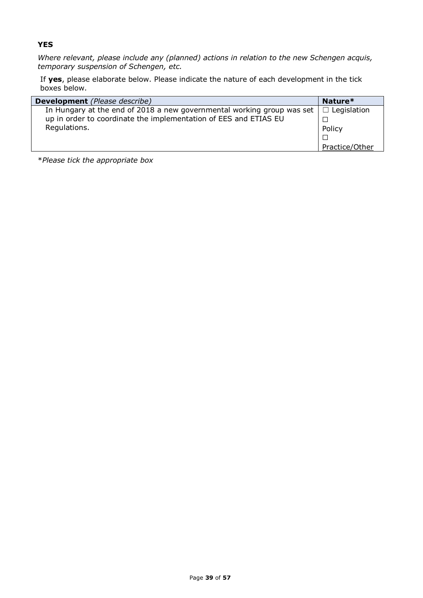### **YES**

*Where relevant, please include any (planned) actions in relation to the new Schengen acquis, temporary suspension of Schengen, etc.* 

If **yes**, please elaborate below. Please indicate the nature of each development in the tick boxes below.

| <b>Development</b> (Please describe)                                   | Nature*            |
|------------------------------------------------------------------------|--------------------|
| In Hungary at the end of 2018 a new governmental working group was set | $\Box$ Legislation |
| up in order to coordinate the implementation of EES and ETIAS EU       |                    |
| Regulations.                                                           | Policy             |
|                                                                        | $\Box$             |
|                                                                        | Practice/Other     |

\**Please tick the appropriate box*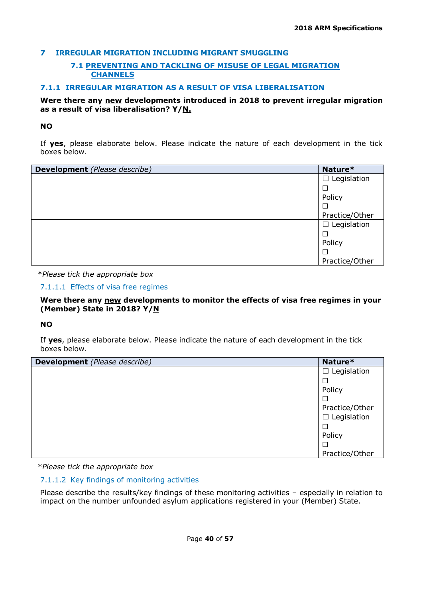### **7 IRREGULAR MIGRATION INCLUDING MIGRANT SMUGGLING**

### **7.1 PREVENTING AND TACKLING OF MISUSE OF LEGAL MIGRATION CHANNELS**

### **7.1.1 IRREGULAR MIGRATION AS A RESULT OF VISA LIBERALISATION**

### **Were there any new developments introduced in 2018 to prevent irregular migration as a result of visa liberalisation? Y/N.**

### **NO**

If **yes**, please elaborate below. Please indicate the nature of each development in the tick boxes below.

| Development (Please describe) | Nature*            |
|-------------------------------|--------------------|
|                               | Legislation<br>ப   |
|                               |                    |
|                               | Policy             |
|                               |                    |
|                               | Practice/Other     |
|                               | $\Box$ Legislation |
|                               |                    |
|                               | Policy             |
|                               |                    |
|                               | Practice/Other     |

\**Please tick the appropriate box*

7.1.1.1 Effects of visa free regimes

**Were there any new developments to monitor the effects of visa free regimes in your (Member) State in 2018? Y/N**

### **NO**

If **yes**, please elaborate below. Please indicate the nature of each development in the tick boxes below.

| <b>Development</b> (Please describe) | Nature*            |
|--------------------------------------|--------------------|
|                                      | $\Box$ Legislation |
|                                      | $\Box$             |
|                                      | Policy             |
|                                      | $\Box$             |
|                                      | Practice/Other     |
|                                      | $\Box$ Legislation |
|                                      | ⊏                  |
|                                      | Policy             |
|                                      |                    |
|                                      | Practice/Other     |

\**Please tick the appropriate box*

### 7.1.1.2 Key findings of monitoring activities

Please describe the results/key findings of these monitoring activities – especially in relation to impact on the number unfounded asylum applications registered in your (Member) State.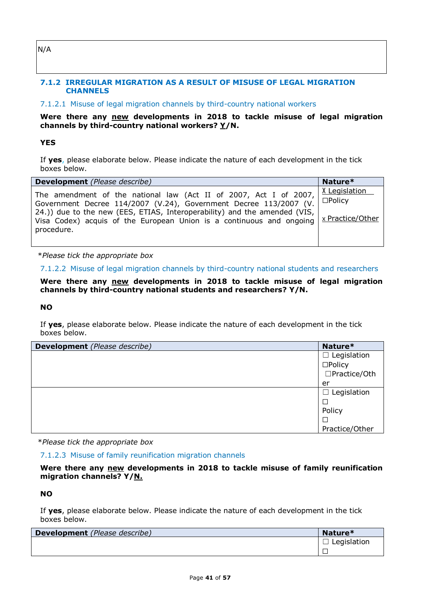# N/A

### **7.1.2 IRREGULAR MIGRATION AS A RESULT OF MISUSE OF LEGAL MIGRATION CHANNELS**

# 7.1.2.1 Misuse of legal migration channels by third-country national workers

### **Were there any new developments in 2018 to tackle misuse of legal migration channels by third-country national workers? Y/N.**

### **YES**

If **yes**, please elaborate below. Please indicate the nature of each development in the tick boxes below.

| <b>Development</b> (Please describe)                                                                                                                                                                                                                                                                        | Nature*                                                      |
|-------------------------------------------------------------------------------------------------------------------------------------------------------------------------------------------------------------------------------------------------------------------------------------------------------------|--------------------------------------------------------------|
| The amendment of the national law (Act II of 2007, Act I of 2007,  <br>Government Decree 114/2007 (V.24), Government Decree 113/2007 (V.<br>24.)) due to the new (EES, ETIAS, Interoperability) and the amended (VIS,<br>Visa Codex) acquis of the European Union is a continuous and ongoing<br>procedure. | <b>X</b> Legislation<br>$\square$ Policy<br>x Practice/Other |

\**Please tick the appropriate box*

7.1.2.2 Misuse of legal migration channels by third-country national students and researchers

**Were there any new developments in 2018 to tackle misuse of legal migration channels by third-country national students and researchers? Y/N.**

#### **NO**

If **yes**, please elaborate below. Please indicate the nature of each development in the tick boxes below.

| <b>Development</b> (Please describe) | Nature*               |
|--------------------------------------|-----------------------|
|                                      | Legislation<br>$\Box$ |
|                                      | $\square$ Policy      |
|                                      | $\Box$ Practice/Oth   |
|                                      | er                    |
|                                      | Legislation<br>ப      |
|                                      |                       |
|                                      | Policy                |
|                                      |                       |
|                                      | Practice/Other        |

\**Please tick the appropriate box*

### 7.1.2.3 Misuse of family reunification migration channels

**Were there any new developments in 2018 to tackle misuse of family reunification migration channels? Y/N.**

### **NO**

| Development (Please describe) | Nature*     |
|-------------------------------|-------------|
|                               | Legislation |
|                               |             |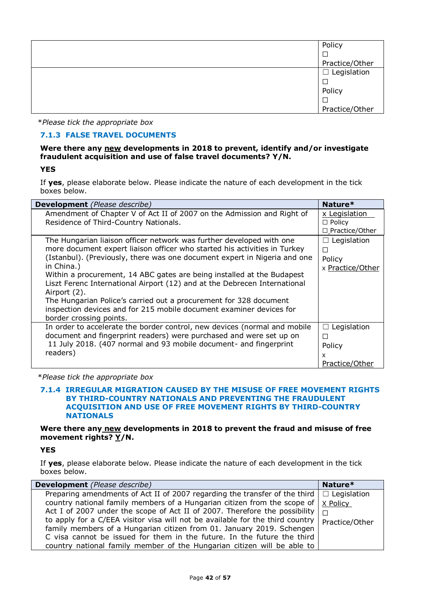| Policy             |
|--------------------|
|                    |
| Practice/Other     |
| $\Box$ Legislation |
|                    |
| Policy             |
|                    |
| Practice/Other     |

### **7.1.3 FALSE TRAVEL DOCUMENTS**

### **Were there any new developments in 2018 to prevent, identify and/or investigate fraudulent acquisition and use of false travel documents? Y/N.**

**YES**

If **yes**, please elaborate below. Please indicate the nature of each development in the tick boxes below.

| <b>Development</b> (Please describe)                                                                                                                                                                                                                                                                                                                                                                                                                                                                                                                                                       | Nature*                                                  |
|--------------------------------------------------------------------------------------------------------------------------------------------------------------------------------------------------------------------------------------------------------------------------------------------------------------------------------------------------------------------------------------------------------------------------------------------------------------------------------------------------------------------------------------------------------------------------------------------|----------------------------------------------------------|
| Amendment of Chapter V of Act II of 2007 on the Admission and Right of<br>Residence of Third-Country Nationals.                                                                                                                                                                                                                                                                                                                                                                                                                                                                            | x Legislation<br>$\Box$ Policy<br>$\Box$ Practice/Other  |
| The Hungarian liaison officer network was further developed with one<br>more document expert liaison officer who started his activities in Turkey<br>(Istanbul). (Previously, there was one document expert in Nigeria and one<br>in China.)<br>Within a procurement, 14 ABC gates are being installed at the Budapest<br>Liszt Ferenc International Airport (12) and at the Debrecen International<br>Airport (2).<br>The Hungarian Police's carried out a procurement for 328 document<br>inspection devices and for 215 mobile document examiner devices for<br>border crossing points. | Legislation<br>$\Box$<br>П<br>Policy<br>x Practice/Other |
| In order to accelerate the border control, new devices (normal and mobile<br>document and fingerprint readers) were purchased and were set up on<br>11 July 2018. (407 normal and 93 mobile document- and fingerprint<br>readers)                                                                                                                                                                                                                                                                                                                                                          | Legislation<br>П<br>П<br>Policy<br>x<br>Practice/Other   |

\**Please tick the appropriate box*

#### **7.1.4 IRREGULAR MIGRATION CAUSED BY THE MISUSE OF FREE MOVEMENT RIGHTS BY THIRD-COUNTRY NATIONALS AND PREVENTING THE FRAUDULENT ACQUISITION AND USE OF FREE MOVEMENT RIGHTS BY THIRD-COUNTRY NATIONALS**

**Were there any new developments in 2018 to prevent the fraud and misuse of free movement rights? Y/N.**

**YES**

| <b>Development</b> (Please describe)                                                          | Nature*        |
|-----------------------------------------------------------------------------------------------|----------------|
| Preparing amendments of Act II of 2007 regarding the transfer of the third $\Box$ Legislation |                |
| country national family members of a Hungarian citizen from the scope of $ X $ Policy         |                |
| Act I of 2007 under the scope of Act II of 2007. Therefore the possibility $ \bigcap$         |                |
| to apply for a C/EEA visitor visa will not be available for the third country $\vert$         | Practice/Other |
| family members of a Hungarian citizen from 01. January 2019. Schengen                         |                |
| C visa cannot be issued for them in the future. In the future the third                       |                |
| country national family member of the Hungarian citizen will be able to                       |                |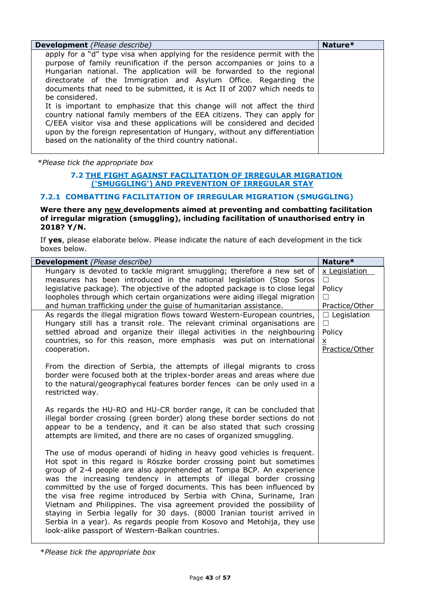| <b>Development</b> (Please describe)                                                                                                                                                                                                                                                                                                                                                                                                                                                                                                                                                                                                                                                                                                                                      | Nature* |
|---------------------------------------------------------------------------------------------------------------------------------------------------------------------------------------------------------------------------------------------------------------------------------------------------------------------------------------------------------------------------------------------------------------------------------------------------------------------------------------------------------------------------------------------------------------------------------------------------------------------------------------------------------------------------------------------------------------------------------------------------------------------------|---------|
| apply for a "d" type visa when applying for the residence permit with the<br>purpose of family reunification if the person accompanies or joins to a<br>Hungarian national. The application will be forwarded to the regional<br>directorate of the Immigration and Asylum Office. Regarding the<br>documents that need to be submitted, it is Act II of 2007 which needs to<br>be considered.<br>It is important to emphasize that this change will not affect the third<br>country national family members of the EEA citizens. They can apply for<br>C/EEA visitor visa and these applications will be considered and decided<br>upon by the foreign representation of Hungary, without any differentiation<br>based on the nationality of the third country national. |         |

### **7.2 THE FIGHT AGAINST FACILITATION OF IRREGULAR MIGRATION ('SMUGGLING') AND PREVENTION OF IRREGULAR STAY**

### **7.2.1 COMBATTING FACILITATION OF IRREGULAR MIGRATION (SMUGGLING)**

#### **Were there any new developments aimed at preventing and combatting facilitation of irregular migration (smuggling), including facilitation of unauthorised entry in 2018? Y/N.**

If **yes**, please elaborate below. Please indicate the nature of each development in the tick boxes below.

| <b>Development</b> (Please describe)                                                                                                                                                                                                                                                                                                                                                                                                                                                                                                                                                                                                                                                                                                 | Nature*                                                                     |
|--------------------------------------------------------------------------------------------------------------------------------------------------------------------------------------------------------------------------------------------------------------------------------------------------------------------------------------------------------------------------------------------------------------------------------------------------------------------------------------------------------------------------------------------------------------------------------------------------------------------------------------------------------------------------------------------------------------------------------------|-----------------------------------------------------------------------------|
| Hungary is devoted to tackle migrant smuggling; therefore a new set of<br>measures has been introduced in the national legislation (Stop Soros<br>legislative package). The objective of the adopted package is to close legal<br>loopholes through which certain organizations were aiding illegal migration<br>and human trafficking under the guise of humanitarian assistance.                                                                                                                                                                                                                                                                                                                                                   | x Legislation<br>П<br>Policy<br>П<br>Practice/Other                         |
| As regards the illegal migration flows toward Western-European countries,<br>Hungary still has a transit role. The relevant criminal organisations are<br>settled abroad and organize their illegal activities in the neighbouring<br>countries, so for this reason, more emphasis was put on international<br>cooperation.                                                                                                                                                                                                                                                                                                                                                                                                          | $\Box$ Legislation<br>$\Box$<br>Policy<br>$\underline{x}$<br>Practice/Other |
| From the direction of Serbia, the attempts of illegal migrants to cross<br>border were focused both at the triplex-border areas and areas where due<br>to the natural/geographycal features border fences can be only used in a<br>restricted way.                                                                                                                                                                                                                                                                                                                                                                                                                                                                                   |                                                                             |
| As regards the HU-RO and HU-CR border range, it can be concluded that<br>illegal border crossing (green border) along these border sections do not<br>appear to be a tendency, and it can be also stated that such crossing<br>attempts are limited, and there are no cases of organized smuggling.                                                                                                                                                                                                                                                                                                                                                                                                                                  |                                                                             |
| The use of modus operandi of hiding in heavy good vehicles is frequent.<br>Hot spot in this regard is Röszke border crossing point but sometimes<br>group of 2-4 people are also apprehended at Tompa BCP. An experience<br>was the increasing tendency in attempts of illegal border crossing<br>committed by the use of forged documents. This has been influenced by<br>the visa free regime introduced by Serbia with China, Suriname, Iran<br>Vietnam and Philippines. The visa agreement provided the possibility of<br>staying in Serbia legally for 30 days. (8000 Iranian tourist arrived in<br>Serbia in a year). As regards people from Kosovo and Metohija, they use<br>look-alike passport of Western-Balkan countries. |                                                                             |

\**Please tick the appropriate box*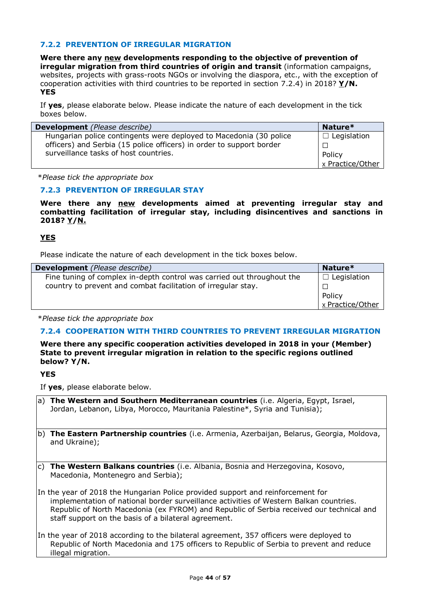### **7.2.2 PREVENTION OF IRREGULAR MIGRATION**

**Were there any new developments responding to the objective of prevention of irregular migration from third countries of origin and transit** (information campaigns, websites, projects with grass-roots NGOs or involving the diaspora, etc., with the exception of cooperation activities with third countries to be reported in section 7.2.4) in 2018? **Y/N. YES**

If **yes**, please elaborate below. Please indicate the nature of each development in the tick boxes below.

| <b>Development</b> (Please describe)                                 | Nature*          |
|----------------------------------------------------------------------|------------------|
| Hungarian police contingents were deployed to Macedonia (30 police   | Legislation      |
| officers) and Serbia (15 police officers) in order to support border |                  |
| surveillance tasks of host countries.                                | Policy           |
|                                                                      | x Practice/Other |

\**Please tick the appropriate box*

### **7.2.3 PREVENTION OF IRREGULAR STAY**

**Were there any new developments aimed at preventing irregular stay and combatting facilitation of irregular stay, including disincentives and sanctions in 2018? Y/N.**

### **YES**

Please indicate the nature of each development in the tick boxes below.

| <b>Development</b> (Please describe)                                   | Nature*            |
|------------------------------------------------------------------------|--------------------|
| Fine tuning of complex in-depth control was carried out throughout the | $\Box$ Legislation |
| country to prevent and combat facilitation of irregular stay.          |                    |
|                                                                        | Policy             |
|                                                                        | x Practice/Other   |

\**Please tick the appropriate box*

### **7.2.4 COOPERATION WITH THIRD COUNTRIES TO PREVENT IRREGULAR MIGRATION**

**Were there any specific cooperation activities developed in 2018 in your (Member) State to prevent irregular migration in relation to the specific regions outlined below? Y/N.**

**YES**

If **yes**, please elaborate below.

- a) **The Western and Southern Mediterranean countries** (i.e. Algeria, Egypt, Israel, Jordan, Lebanon, Libya, Morocco, Mauritania Palestine\*, Syria and Tunisia);
- b) **The Eastern Partnership countries** (i.e. Armenia, Azerbaijan, Belarus, Georgia, Moldova, and Ukraine);
- c) **The Western Balkans countries** (i.e. Albania, Bosnia and Herzegovina, Kosovo, Macedonia, Montenegro and Serbia);

In the year of 2018 the Hungarian Police provided support and reinforcement for implementation of national border surveillance activities of Western Balkan countries. Republic of North Macedonia (ex FYROM) and Republic of Serbia received our technical and staff support on the basis of a bilateral agreement.

In the year of 2018 according to the bilateral agreement, 357 officers were deployed to Republic of North Macedonia and 175 officers to Republic of Serbia to prevent and reduce illegal migration.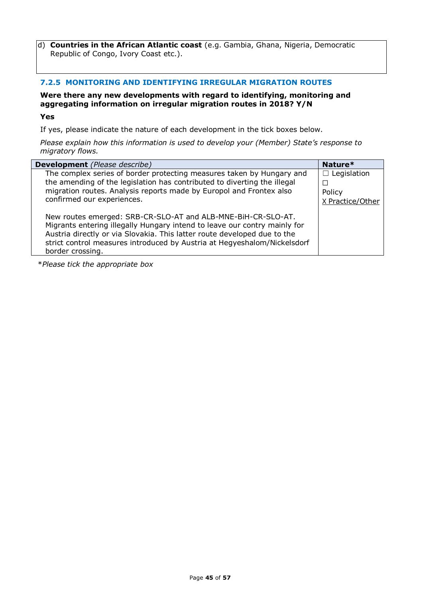d) **Countries in the African Atlantic coast** (e.g. Gambia, Ghana, Nigeria, Democratic Republic of Congo, Ivory Coast etc.).

### **7.2.5 MONITORING AND IDENTIFYING IRREGULAR MIGRATION ROUTES**

### **Were there any new developments with regard to identifying, monitoring and aggregating information on irregular migration routes in 2018? Y/N**

**Yes**

If yes, please indicate the nature of each development in the tick boxes below.

*Please explain how this information is used to develop your (Member) State's response to migratory flows.* 

| <b>Development</b> (Please describe)                                                                                                                                                                                                                                                                                  | Nature*                                          |
|-----------------------------------------------------------------------------------------------------------------------------------------------------------------------------------------------------------------------------------------------------------------------------------------------------------------------|--------------------------------------------------|
| The complex series of border protecting measures taken by Hungary and<br>the amending of the legislation has contributed to diverting the illegal<br>migration routes. Analysis reports made by Europol and Frontex also<br>confirmed our experiences.                                                                | $\Box$ Legislation<br>Policy<br>X Practice/Other |
| New routes emerged: SRB-CR-SLO-AT and ALB-MNE-BiH-CR-SLO-AT.<br>Migrants entering illegally Hungary intend to leave our contry mainly for<br>Austria directly or via Slovakia. This latter route developed due to the<br>strict control measures introduced by Austria at Hegyeshalom/Nickelsdorf<br>border crossing. |                                                  |

\**Please tick the appropriate box*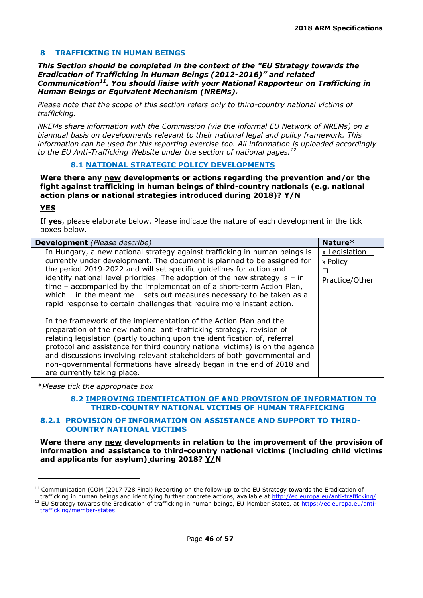### **8 TRAFFICKING IN HUMAN BEINGS**

*This Section should be completed in the context of the "EU Strategy towards the Eradication of Trafficking in Human Beings (2012-2016)" and related Communication<sup>11</sup>. You should liaise with your National Rapporteur on Trafficking in Human Beings or Equivalent Mechanism (NREMs).*

*Please note that the scope of this section refers only to third-country national victims of trafficking.*

*NREMs share information with the Commission (via the informal EU Network of NREMs) on a biannual basis on developments relevant to their national legal and policy framework. This information can be used for this reporting exercise too. All information is uploaded accordingly to the EU Anti-Trafficking Website under the section of national pages.<sup>12</sup>*

#### **8.1 NATIONAL STRATEGIC POLICY DEVELOPMENTS**

**Were there any new developments or actions regarding the prevention and/or the fight against trafficking in human beings of third-country nationals (e.g. national action plans or national strategies introduced during 2018)? Y/N**

### **YES**

ł

If **yes**, please elaborate below. Please indicate the nature of each development in the tick boxes below.

| <b>Development</b> (Please describe)                                                                                                                                                                                                                                                                                                                                                                                                                                                                                                             | Nature*                                          |
|--------------------------------------------------------------------------------------------------------------------------------------------------------------------------------------------------------------------------------------------------------------------------------------------------------------------------------------------------------------------------------------------------------------------------------------------------------------------------------------------------------------------------------------------------|--------------------------------------------------|
| In Hungary, a new national strategy against trafficking in human beings is<br>currently under development. The document is planned to be assigned for<br>the period 2019-2022 and will set specific guidelines for action and<br>identify national level priorities. The adoption of the new strategy is $-$ in<br>time - accompanied by the implementation of a short-term Action Plan,<br>which $-$ in the meantime $-$ sets out measures necessary to be taken as a<br>rapid response to certain challenges that require more instant action. | x Legislation<br>x Policy<br>П<br>Practice/Other |
| In the framework of the implementation of the Action Plan and the<br>preparation of the new national anti-trafficking strategy, revision of<br>relating legislation (partly touching upon the identification of, referral<br>protocol and assistance for third country national victims) is on the agenda<br>and discussions involving relevant stakeholders of both governmental and<br>non-governmental formations have already began in the end of 2018 and<br>are currently taking place.                                                    |                                                  |

\**Please tick the appropriate box*

### **8.2 IMPROVING IDENTIFICATION OF AND PROVISION OF INFORMATION TO THIRD-COUNTRY NATIONAL VICTIMS OF HUMAN TRAFFICKING**

### **8.2.1 PROVISION OF INFORMATION ON ASSISTANCE AND SUPPORT TO THIRD-COUNTRY NATIONAL VICTIMS**

**Were there any new developments in relation to the improvement of the provision of information and assistance to third-country national victims (including child victims and applicants for asylum) during 2018? Y/N**

<sup>11</sup> Communication (COM (2017 728 Final) Reporting on the follow-up to the EU Strategy towards the Eradication of trafficking in human beings and identifying further concrete actions, available at<http://ec.europa.eu/anti-trafficking/>

<sup>&</sup>lt;sup>12</sup> EU Strategy towards the Eradication of trafficking in human beings, EU Member States, at [https://ec.europa.eu/anti](https://ec.europa.eu/anti-trafficking/member-states)[trafficking/member-states](https://ec.europa.eu/anti-trafficking/member-states)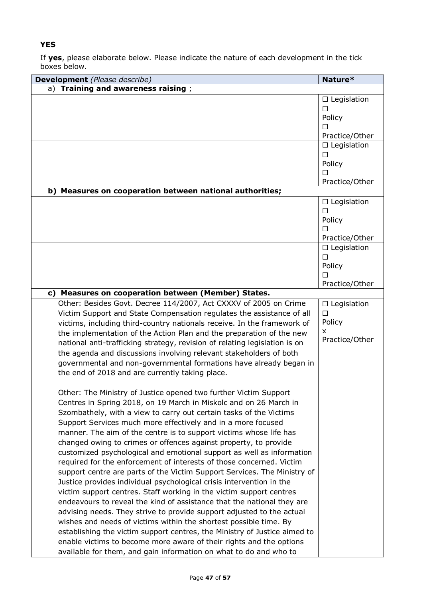### **YES**

| Development (Please describe)                                                                                                                                                                                                                                                                                                                                                                                                                                                                                                                                                                                                                                                                                                                                                                                                                                                                                                                                                                                                                                                                                                                                                                                                                      | Nature*                                                                             |
|----------------------------------------------------------------------------------------------------------------------------------------------------------------------------------------------------------------------------------------------------------------------------------------------------------------------------------------------------------------------------------------------------------------------------------------------------------------------------------------------------------------------------------------------------------------------------------------------------------------------------------------------------------------------------------------------------------------------------------------------------------------------------------------------------------------------------------------------------------------------------------------------------------------------------------------------------------------------------------------------------------------------------------------------------------------------------------------------------------------------------------------------------------------------------------------------------------------------------------------------------|-------------------------------------------------------------------------------------|
| a) Training and awareness raising;                                                                                                                                                                                                                                                                                                                                                                                                                                                                                                                                                                                                                                                                                                                                                                                                                                                                                                                                                                                                                                                                                                                                                                                                                 |                                                                                     |
|                                                                                                                                                                                                                                                                                                                                                                                                                                                                                                                                                                                                                                                                                                                                                                                                                                                                                                                                                                                                                                                                                                                                                                                                                                                    | $\Box$ Legislation<br>П<br>Policy<br>П                                              |
|                                                                                                                                                                                                                                                                                                                                                                                                                                                                                                                                                                                                                                                                                                                                                                                                                                                                                                                                                                                                                                                                                                                                                                                                                                                    | Practice/Other<br>$\Box$ Legislation                                                |
|                                                                                                                                                                                                                                                                                                                                                                                                                                                                                                                                                                                                                                                                                                                                                                                                                                                                                                                                                                                                                                                                                                                                                                                                                                                    | П<br>Policy<br>п                                                                    |
|                                                                                                                                                                                                                                                                                                                                                                                                                                                                                                                                                                                                                                                                                                                                                                                                                                                                                                                                                                                                                                                                                                                                                                                                                                                    | Practice/Other                                                                      |
| b) Measures on cooperation between national authorities;                                                                                                                                                                                                                                                                                                                                                                                                                                                                                                                                                                                                                                                                                                                                                                                                                                                                                                                                                                                                                                                                                                                                                                                           |                                                                                     |
|                                                                                                                                                                                                                                                                                                                                                                                                                                                                                                                                                                                                                                                                                                                                                                                                                                                                                                                                                                                                                                                                                                                                                                                                                                                    | $\Box$ Legislation<br>$\Box$<br>Policy<br>П<br>Practice/Other<br>$\Box$ Legislation |
|                                                                                                                                                                                                                                                                                                                                                                                                                                                                                                                                                                                                                                                                                                                                                                                                                                                                                                                                                                                                                                                                                                                                                                                                                                                    | П<br>Policy<br>П<br>Practice/Other                                                  |
| c) Measures on cooperation between (Member) States.                                                                                                                                                                                                                                                                                                                                                                                                                                                                                                                                                                                                                                                                                                                                                                                                                                                                                                                                                                                                                                                                                                                                                                                                |                                                                                     |
| Other: Besides Govt. Decree 114/2007, Act CXXXV of 2005 on Crime<br>Victim Support and State Compensation regulates the assistance of all<br>victims, including third-country nationals receive. In the framework of<br>the implementation of the Action Plan and the preparation of the new<br>national anti-trafficking strategy, revision of relating legislation is on<br>the agenda and discussions involving relevant stakeholders of both<br>governmental and non-governmental formations have already began in<br>the end of 2018 and are currently taking place.                                                                                                                                                                                                                                                                                                                                                                                                                                                                                                                                                                                                                                                                          | $\Box$ Legislation<br>$\Box$<br>Policy<br>x<br>Practice/Other                       |
| Other: The Ministry of Justice opened two further Victim Support<br>Centres in Spring 2018, on 19 March in Miskolc and on 26 March in<br>Szombathely, with a view to carry out certain tasks of the Victims<br>Support Services much more effectively and in a more focused<br>manner. The aim of the centre is to support victims whose life has<br>changed owing to crimes or offences against property, to provide<br>customized psychological and emotional support as well as information<br>required for the enforcement of interests of those concerned. Victim<br>support centre are parts of the Victim Support Services. The Ministry of<br>Justice provides individual psychological crisis intervention in the<br>victim support centres. Staff working in the victim support centres<br>endeavours to reveal the kind of assistance that the national they are<br>advising needs. They strive to provide support adjusted to the actual<br>wishes and needs of victims within the shortest possible time. By<br>establishing the victim support centres, the Ministry of Justice aimed to<br>enable victims to become more aware of their rights and the options<br>available for them, and gain information on what to do and who to |                                                                                     |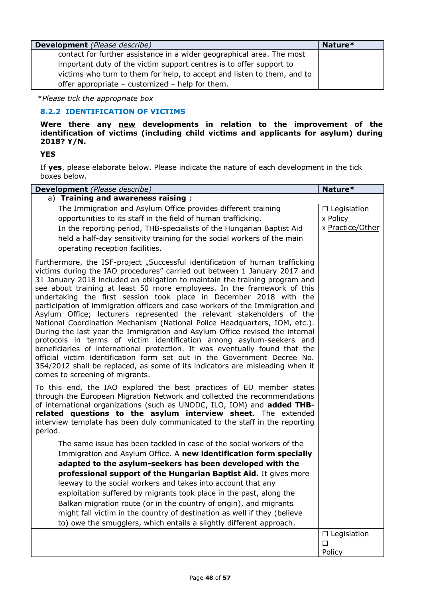| <b>Development</b> (Please describe)                                    | Nature* |
|-------------------------------------------------------------------------|---------|
| contact for further assistance in a wider geographical area. The most   |         |
| important duty of the victim support centres is to offer support to     |         |
| victims who turn to them for help, to accept and listen to them, and to |         |
| offer appropriate - customized - help for them.                         |         |

### **8.2.2 IDENTIFICATION OF VICTIMS**

**Were there any new developments in relation to the improvement of the identification of victims (including child victims and applicants for asylum) during 2018? Y/N.**

### **YES**

| Development (Please describe)                                                                                                                                                                                                                                                                                                                                                                                                                                                                                                                                                                                                                                                                                                                                                                                                                                                                                                                                                                                                                                          | Nature*                                            |
|------------------------------------------------------------------------------------------------------------------------------------------------------------------------------------------------------------------------------------------------------------------------------------------------------------------------------------------------------------------------------------------------------------------------------------------------------------------------------------------------------------------------------------------------------------------------------------------------------------------------------------------------------------------------------------------------------------------------------------------------------------------------------------------------------------------------------------------------------------------------------------------------------------------------------------------------------------------------------------------------------------------------------------------------------------------------|----------------------------------------------------|
| a) Training and awareness raising;                                                                                                                                                                                                                                                                                                                                                                                                                                                                                                                                                                                                                                                                                                                                                                                                                                                                                                                                                                                                                                     |                                                    |
| The Immigration and Asylum Office provides different training<br>opportunities to its staff in the field of human trafficking.<br>In the reporting period, THB-specialists of the Hungarian Baptist Aid<br>held a half-day sensitivity training for the social workers of the main<br>operating reception facilities.                                                                                                                                                                                                                                                                                                                                                                                                                                                                                                                                                                                                                                                                                                                                                  | $\Box$ Legislation<br>x Policy<br>x Practice/Other |
| Furthermore, the ISF-project "Successful identification of human trafficking<br>victims during the IAO procedures" carried out between 1 January 2017 and<br>31 January 2018 included an obligation to maintain the training program and<br>see about training at least 50 more employees. In the framework of this<br>undertaking the first session took place in December 2018 with the<br>participation of immigration officers and case workers of the Immigration and<br>Asylum Office; lecturers represented the relevant stakeholders of the<br>National Coordination Mechanism (National Police Headquarters, IOM, etc.).<br>During the last year the Immigration and Asylum Office revised the internal<br>protocols in terms of victim identification among asylum-seekers and<br>beneficiaries of international protection. It was eventually found that the<br>official victim identification form set out in the Government Decree No.<br>354/2012 shall be replaced, as some of its indicators are misleading when it<br>comes to screening of migrants. |                                                    |
| To this end, the IAO explored the best practices of EU member states<br>through the European Migration Network and collected the recommendations<br>of international organizations (such as UNODC, ILO, IOM) and added THB-<br>related questions to the asylum interview sheet. The extended<br>interview template has been duly communicated to the staff in the reporting<br>period.                                                                                                                                                                                                                                                                                                                                                                                                                                                                                                                                                                                                                                                                                 |                                                    |
| The same issue has been tackled in case of the social workers of the                                                                                                                                                                                                                                                                                                                                                                                                                                                                                                                                                                                                                                                                                                                                                                                                                                                                                                                                                                                                   |                                                    |
| Immigration and Asylum Office. A new identification form specially                                                                                                                                                                                                                                                                                                                                                                                                                                                                                                                                                                                                                                                                                                                                                                                                                                                                                                                                                                                                     |                                                    |
| adapted to the asylum-seekers has been developed with the<br>professional support of the Hungarian Baptist Aid. It gives more                                                                                                                                                                                                                                                                                                                                                                                                                                                                                                                                                                                                                                                                                                                                                                                                                                                                                                                                          |                                                    |
| leeway to the social workers and takes into account that any                                                                                                                                                                                                                                                                                                                                                                                                                                                                                                                                                                                                                                                                                                                                                                                                                                                                                                                                                                                                           |                                                    |
| exploitation suffered by migrants took place in the past, along the                                                                                                                                                                                                                                                                                                                                                                                                                                                                                                                                                                                                                                                                                                                                                                                                                                                                                                                                                                                                    |                                                    |
| Balkan migration route (or in the country of origin), and migrants                                                                                                                                                                                                                                                                                                                                                                                                                                                                                                                                                                                                                                                                                                                                                                                                                                                                                                                                                                                                     |                                                    |
| might fall victim in the country of destination as well if they (believe                                                                                                                                                                                                                                                                                                                                                                                                                                                                                                                                                                                                                                                                                                                                                                                                                                                                                                                                                                                               |                                                    |
| to) owe the smugglers, which entails a slightly different approach.                                                                                                                                                                                                                                                                                                                                                                                                                                                                                                                                                                                                                                                                                                                                                                                                                                                                                                                                                                                                    |                                                    |
|                                                                                                                                                                                                                                                                                                                                                                                                                                                                                                                                                                                                                                                                                                                                                                                                                                                                                                                                                                                                                                                                        | $\Box$ Legislation                                 |
|                                                                                                                                                                                                                                                                                                                                                                                                                                                                                                                                                                                                                                                                                                                                                                                                                                                                                                                                                                                                                                                                        | □                                                  |
|                                                                                                                                                                                                                                                                                                                                                                                                                                                                                                                                                                                                                                                                                                                                                                                                                                                                                                                                                                                                                                                                        | Policy                                             |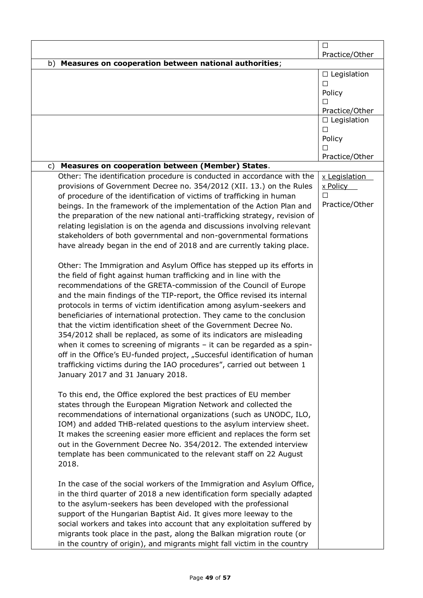|                                                                            | □                       |
|----------------------------------------------------------------------------|-------------------------|
|                                                                            | Practice/Other          |
| Measures on cooperation between national authorities;<br>b)                |                         |
|                                                                            | $\Box$ Legislation      |
|                                                                            | П                       |
|                                                                            | Policy                  |
|                                                                            | П                       |
|                                                                            | Practice/Other          |
|                                                                            | $\Box$ Legislation<br>П |
|                                                                            | Policy                  |
|                                                                            | П                       |
|                                                                            | Practice/Other          |
| Measures on cooperation between (Member) States.<br>C)                     |                         |
| Other: The identification procedure is conducted in accordance with the    | x Legislation           |
| provisions of Government Decree no. 354/2012 (XII. 13.) on the Rules       | <u>x Policy</u>         |
| of procedure of the identification of victims of trafficking in human      | П                       |
| beings. In the framework of the implementation of the Action Plan and      | Practice/Other          |
| the preparation of the new national anti-trafficking strategy, revision of |                         |
| relating legislation is on the agenda and discussions involving relevant   |                         |
| stakeholders of both governmental and non-governmental formations          |                         |
| have already began in the end of 2018 and are currently taking place.      |                         |
|                                                                            |                         |
| Other: The Immigration and Asylum Office has stepped up its efforts in     |                         |
| the field of fight against human trafficking and in line with the          |                         |
| recommendations of the GRETA-commission of the Council of Europe           |                         |
| and the main findings of the TIP-report, the Office revised its internal   |                         |
| protocols in terms of victim identification among asylum-seekers and       |                         |
| beneficiaries of international protection. They came to the conclusion     |                         |
| that the victim identification sheet of the Government Decree No.          |                         |
| 354/2012 shall be replaced, as some of its indicators are misleading       |                         |
| when it comes to screening of migrants $-$ it can be regarded as a spin-   |                         |
| off in the Office's EU-funded project, "Succesful identification of human  |                         |
| trafficking victims during the IAO procedures", carried out between 1      |                         |
| January 2017 and 31 January 2018.                                          |                         |
|                                                                            |                         |
| To this end, the Office explored the best practices of EU member           |                         |
| states through the European Migration Network and collected the            |                         |
| recommendations of international organizations (such as UNODC, ILO,        |                         |
| IOM) and added THB-related questions to the asylum interview sheet.        |                         |
| It makes the screening easier more efficient and replaces the form set     |                         |
| out in the Government Decree No. 354/2012. The extended interview          |                         |
| template has been communicated to the relevant staff on 22 August          |                         |
| 2018.                                                                      |                         |
| In the case of the social workers of the Immigration and Asylum Office,    |                         |
| in the third quarter of 2018 a new identification form specially adapted   |                         |
| to the asylum-seekers has been developed with the professional             |                         |
| support of the Hungarian Baptist Aid. It gives more leeway to the          |                         |
| social workers and takes into account that any exploitation suffered by    |                         |
| migrants took place in the past, along the Balkan migration route (or      |                         |
| in the country of origin), and migrants might fall victim in the country   |                         |
|                                                                            |                         |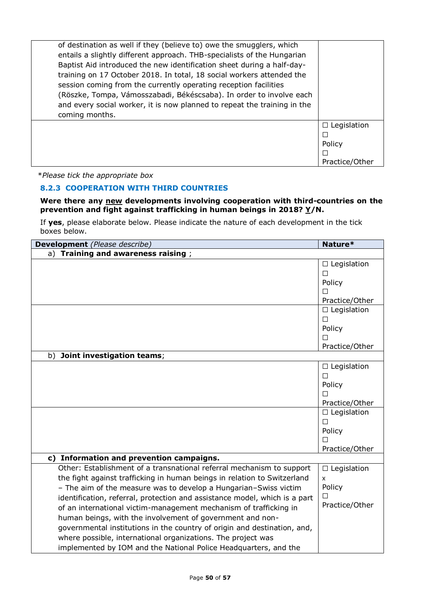| of destination as well if they (believe to) owe the smugglers, which<br>entails a slightly different approach. THB-specialists of the Hungarian<br>Baptist Aid introduced the new identification sheet during a half-day-<br>training on 17 October 2018. In total, 18 social workers attended the<br>session coming from the currently operating reception facilities<br>(Röszke, Tompa, Vámosszabadi, Békéscsaba). In order to involve each<br>and every social worker, it is now planned to repeat the training in the |                    |
|---------------------------------------------------------------------------------------------------------------------------------------------------------------------------------------------------------------------------------------------------------------------------------------------------------------------------------------------------------------------------------------------------------------------------------------------------------------------------------------------------------------------------|--------------------|
| coming months.                                                                                                                                                                                                                                                                                                                                                                                                                                                                                                            |                    |
|                                                                                                                                                                                                                                                                                                                                                                                                                                                                                                                           | $\Box$ Legislation |
|                                                                                                                                                                                                                                                                                                                                                                                                                                                                                                                           |                    |
|                                                                                                                                                                                                                                                                                                                                                                                                                                                                                                                           | Policy             |
|                                                                                                                                                                                                                                                                                                                                                                                                                                                                                                                           |                    |
|                                                                                                                                                                                                                                                                                                                                                                                                                                                                                                                           | Practice/Other     |

### **8.2.3 COOPERATION WITH THIRD COUNTRIES**

#### **Were there any new developments involving cooperation with third-countries on the prevention and fight against trafficking in human beings in 2018? Y/N.**

| Development (Please describe)                                              | Nature*            |
|----------------------------------------------------------------------------|--------------------|
| Training and awareness raising;<br>a)                                      |                    |
|                                                                            | $\Box$ Legislation |
|                                                                            | □                  |
|                                                                            | Policy             |
|                                                                            | П                  |
|                                                                            | Practice/Other     |
|                                                                            | $\Box$ Legislation |
|                                                                            | $\Box$             |
|                                                                            | Policy             |
|                                                                            | П                  |
|                                                                            | Practice/Other     |
| b)<br>Joint investigation teams;                                           |                    |
|                                                                            | $\Box$ Legislation |
|                                                                            | П                  |
|                                                                            | Policy             |
|                                                                            | П                  |
|                                                                            | Practice/Other     |
|                                                                            | $\Box$ Legislation |
|                                                                            | П                  |
|                                                                            | Policy             |
|                                                                            | П                  |
|                                                                            | Practice/Other     |
| c) Information and prevention campaigns.                                   |                    |
| Other: Establishment of a transnational referral mechanism to support      | $\Box$ Legislation |
| the fight against trafficking in human beings in relation to Switzerland   | $\mathsf{x}$       |
| - The aim of the measure was to develop a Hungarian-Swiss victim           | Policy             |
| identification, referral, protection and assistance model, which is a part |                    |
| of an international victim-management mechanism of trafficking in          | Practice/Other     |
| human beings, with the involvement of government and non-                  |                    |
| governmental institutions in the country of origin and destination, and,   |                    |
| where possible, international organizations. The project was               |                    |
| implemented by IOM and the National Police Headquarters, and the           |                    |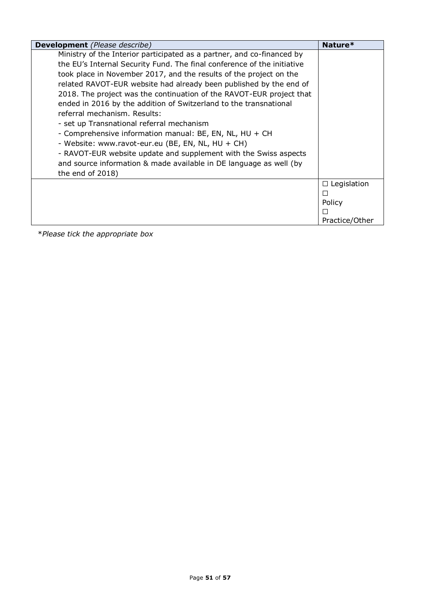| <b>Development</b> (Please describe)                                                                                                                                                                                                                                                                                                                                                                                                                                                                                                                                                                                                                                                                                                                                                                  | Nature*                                        |
|-------------------------------------------------------------------------------------------------------------------------------------------------------------------------------------------------------------------------------------------------------------------------------------------------------------------------------------------------------------------------------------------------------------------------------------------------------------------------------------------------------------------------------------------------------------------------------------------------------------------------------------------------------------------------------------------------------------------------------------------------------------------------------------------------------|------------------------------------------------|
| Ministry of the Interior participated as a partner, and co-financed by<br>the EU's Internal Security Fund. The final conference of the initiative<br>took place in November 2017, and the results of the project on the<br>related RAVOT-EUR website had already been published by the end of<br>2018. The project was the continuation of the RAVOT-EUR project that<br>ended in 2016 by the addition of Switzerland to the transnational<br>referral mechanism. Results:<br>- set up Transnational referral mechanism<br>- Comprehensive information manual: BE, EN, NL, HU + CH<br>- Website: www.ravot-eur.eu (BE, EN, NL, HU + CH)<br>- RAVOT-EUR website update and supplement with the Swiss aspects<br>and source information & made available in DE language as well (by<br>the end of 2018) |                                                |
|                                                                                                                                                                                                                                                                                                                                                                                                                                                                                                                                                                                                                                                                                                                                                                                                       | $\Box$ Legislation<br>Policy<br>Practice/Other |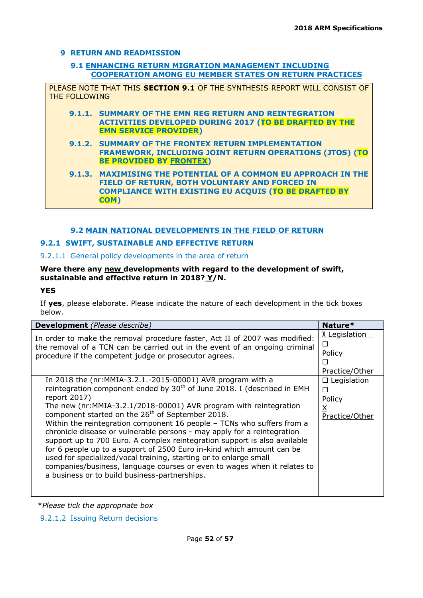### **9 RETURN AND READMISSION**

### **9.1 ENHANCING RETURN MIGRATION MANAGEMENT INCLUDING COOPERATION AMONG EU MEMBER STATES ON RETURN PRACTICES**

PLEASE NOTE THAT THIS **SECTION 9.1** OF THE SYNTHESIS REPORT WILL CONSIST OF THE FOLLOWING

- **9.1.1. SUMMARY OF THE EMN REG RETURN AND REINTEGRATION ACTIVITIES DEVELOPED DURING 2017 (TO BE DRAFTED BY THE EMN SERVICE PROVIDER)**
- **9.1.2. SUMMARY OF THE FRONTEX RETURN IMPLEMENTATION FRAMEWORK, INCLUDING JOINT RETURN OPERATIONS (JTOS) (TO BE PROVIDED BY FRONTEX)**

**9.1.3. MAXIMISING THE POTENTIAL OF A COMMON EU APPROACH IN THE FIELD OF RETURN, BOTH VOLUNTARY AND FORCED IN COMPLIANCE WITH EXISTING EU ACQUIS (TO BE DRAFTED BY COM)**

### **9.2 MAIN NATIONAL DEVELOPMENTS IN THE FIELD OF RETURN**

### **9.2.1 SWIFT, SUSTAINABLE AND EFFECTIVE RETURN**

### 9.2.1.1 General policy developments in the area of return

### **Were there any new developments with regard to the development of swift, sustainable and effective return in 2018? Y/N.**

### **YES**

If **yes**, please elaborate. Please indicate the nature of each development in the tick boxes below.

| <b>Development</b> (Please describe)                                                                                                                                                                                                                                                                                                                                                                                                                                                                                                                                                                                                                                                                                                                                                                                 | Nature*                                                                     |
|----------------------------------------------------------------------------------------------------------------------------------------------------------------------------------------------------------------------------------------------------------------------------------------------------------------------------------------------------------------------------------------------------------------------------------------------------------------------------------------------------------------------------------------------------------------------------------------------------------------------------------------------------------------------------------------------------------------------------------------------------------------------------------------------------------------------|-----------------------------------------------------------------------------|
| In order to make the removal procedure faster, Act II of 2007 was modified:<br>the removal of a TCN can be carried out in the event of an ongoing criminal<br>procedure if the competent judge or prosecutor agrees.                                                                                                                                                                                                                                                                                                                                                                                                                                                                                                                                                                                                 | X Legislation<br>$\Box$<br>Policy<br>$\Box$<br>Practice/Other               |
| In 2018 the (nr: MMIA-3.2.1.-2015-00001) AVR program with a<br>reintegration component ended by 30 <sup>th</sup> of June 2018. I (described in EMH<br>report 2017)<br>The new (nr:MMIA-3.2.1/2018-00001) AVR program with reintegration<br>component started on the 26 <sup>th</sup> of September 2018.<br>Within the reintegration component 16 people - TCNs who suffers from a<br>chronicle disease or vulnerable persons - may apply for a reintegration<br>support up to 700 Euro. A complex reintegration support is also available<br>for 6 people up to a support of 2500 Euro in-kind which amount can be<br>used for specialized/vocal training, starting or to enlarge small<br>companies/business, language courses or even to wages when it relates to<br>a business or to build business-partnerships. | $\Box$ Legislation<br>$\Box$<br>Policy<br>$\underline{X}$<br>Practice/Other |

\**Please tick the appropriate box*

9.2.1.2 Issuing Return decisions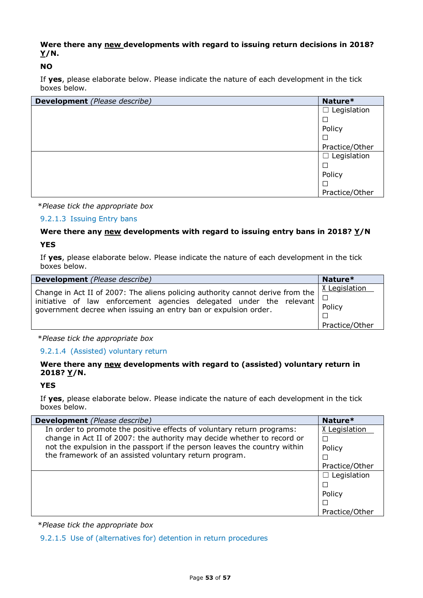### **Were there any new developments with regard to issuing return decisions in 2018? Y/N.**

### **NO**

If **yes**, please elaborate below. Please indicate the nature of each development in the tick boxes below.

| Development (Please describe) | Nature*               |
|-------------------------------|-----------------------|
|                               | Legislation<br>$\Box$ |
|                               | $\Box$                |
|                               | Policy                |
|                               | □                     |
|                               | Practice/Other        |
|                               | $\Box$ Legislation    |
|                               | $\Box$                |
|                               | Policy                |
|                               | $\Box$                |
|                               | Practice/Other        |

\**Please tick the appropriate box*

### 9.2.1.3 Issuing Entry bans

### **Were there any new developments with regard to issuing entry bans in 2018? Y/N YES**

If **yes**, please elaborate below. Please indicate the nature of each development in the tick boxes below.

| <b>Development</b> (Please describe)                                                                                                                                                                                     | Nature*                                   |
|--------------------------------------------------------------------------------------------------------------------------------------------------------------------------------------------------------------------------|-------------------------------------------|
| Change in Act II of 2007: The aliens policing authority cannot derive from the<br>initiative of law enforcement agencies delegated under the relevant<br>government decree when issuing an entry ban or expulsion order. | X Legislation<br>Policy<br>Practice/Other |

### \**Please tick the appropriate box*

#### 9.2.1.4 (Assisted) voluntary return

### **Were there any new developments with regard to (assisted) voluntary return in 2018? Y/N.**

#### **YES**

If **yes**, please elaborate below. Please indicate the nature of each development in the tick boxes below.

| <b>Development</b> (Please describe)                                      | Nature*            |
|---------------------------------------------------------------------------|--------------------|
| In order to promote the positive effects of voluntary return programs:    | X Legislation      |
| change in Act II of 2007: the authority may decide whether to record or   |                    |
| not the expulsion in the passport if the person leaves the country within | Policy             |
| the framework of an assisted voluntary return program.                    |                    |
|                                                                           | Practice/Other     |
|                                                                           | $\Box$ Legislation |
|                                                                           |                    |
|                                                                           | Policy             |
|                                                                           |                    |
|                                                                           | Practice/Other     |

\**Please tick the appropriate box*

9.2.1.5 Use of (alternatives for) detention in return procedures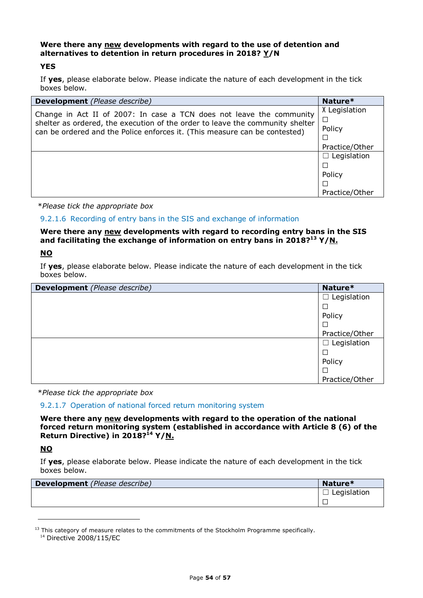### **Were there any new developments with regard to the use of detention and alternatives to detention in return procedures in 2018? Y/N**

#### **YES**

If **yes**, please elaborate below. Please indicate the nature of each development in the tick boxes below.

| <b>Development</b> (Please describe)                                                                                                                        | Nature*            |
|-------------------------------------------------------------------------------------------------------------------------------------------------------------|--------------------|
| Change in Act II of 2007: In case a TCN does not leave the community                                                                                        | X Legislation      |
| shelter as ordered, the execution of the order to leave the community shelter<br>can be ordered and the Police enforces it. (This measure can be contested) | $\Box$             |
|                                                                                                                                                             | Policy             |
|                                                                                                                                                             | └                  |
|                                                                                                                                                             | Practice/Other     |
|                                                                                                                                                             | $\Box$ Legislation |
|                                                                                                                                                             | ⊏                  |
|                                                                                                                                                             | Policy             |
|                                                                                                                                                             |                    |
|                                                                                                                                                             | Practice/Other     |

\**Please tick the appropriate box*

### 9.2.1.6 Recording of entry bans in the SIS and exchange of information

### **Were there any new developments with regard to recording entry bans in the SIS and facilitating the exchange of information on entry bans in 2018?<sup>13</sup> Y/N.**

### **NO**

If **yes**, please elaborate below. Please indicate the nature of each development in the tick boxes below.

| <b>Development</b> (Please describe) | Nature*               |
|--------------------------------------|-----------------------|
|                                      | Legislation<br>ப      |
|                                      |                       |
|                                      | Policy                |
|                                      |                       |
|                                      | Practice/Other        |
|                                      | Legislation<br>$\Box$ |
|                                      |                       |
|                                      | Policy                |
|                                      |                       |
|                                      | Practice/Other        |

\**Please tick the appropriate box*

#### 9.2.1.7 Operation of national forced return monitoring system

**Were there any new developments with regard to the operation of the national forced return monitoring system (established in accordance with Article 8 (6) of the Return Directive) in 2018? <sup>14</sup> Y/N.**

### **NO**

-

| <b>Development</b> (Please describe) | Nature*     |
|--------------------------------------|-------------|
|                                      | Legislation |
|                                      |             |

 $<sup>13</sup>$  This category of measure relates to the commitments of the Stockholm Programme specifically.</sup>

<sup>14</sup> Directive 2008/115/EC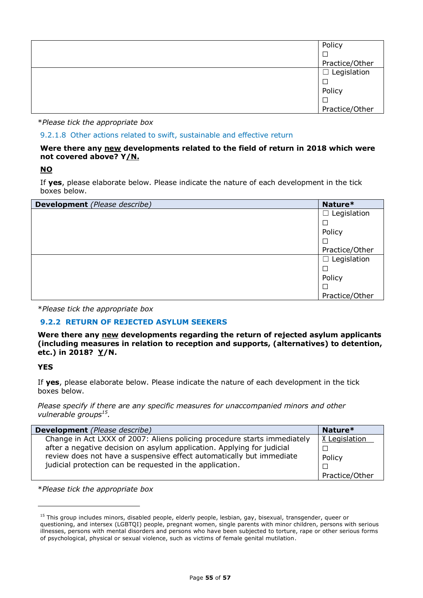| Policy             |
|--------------------|
|                    |
| Practice/Other     |
| $\Box$ Legislation |
|                    |
| Policy             |
|                    |
| Practice/Other     |

9.2.1.8 Other actions related to swift, sustainable and effective return

#### **Were there any new developments related to the field of return in 2018 which were not covered above? Y/N.**

**NO**

If **yes**, please elaborate below. Please indicate the nature of each development in the tick boxes below.

| <b>Development</b> (Please describe) | Nature*            |
|--------------------------------------|--------------------|
|                                      | $\Box$ Legislation |
|                                      | $\Box$             |
|                                      | Policy             |
|                                      | $\Box$             |
|                                      | Practice/Other     |
|                                      | $\Box$ Legislation |
|                                      | $\Box$             |
|                                      | Policy             |
|                                      | $\Box$             |
|                                      | Practice/Other     |

\**Please tick the appropriate box*

### **9.2.2 RETURN OF REJECTED ASYLUM SEEKERS**

**Were there any new developments regarding the return of rejected asylum applicants (including measures in relation to reception and supports, (alternatives) to detention, etc.) in 2018? Y/N.**

**YES**

ł

If **yes**, please elaborate below. Please indicate the nature of each development in the tick boxes below.

*Please specify if there are any specific measures for unaccompanied minors and other vulnerable groups<sup>15</sup> .*

| <b>Development</b> (Please describe)                                     | Nature*        |
|--------------------------------------------------------------------------|----------------|
| Change in Act LXXX of 2007: Aliens policing procedure starts immediately | X Legislation  |
| after a negative decision on asylum application. Applying for judicial   |                |
| review does not have a suspensive effect automatically but immediate     | Policy         |
| judicial protection can be requested in the application.                 |                |
|                                                                          | Practice/Other |

\**Please tick the appropriate box*

<sup>&</sup>lt;sup>15</sup> This group includes minors, disabled people, elderly people, lesbian, gay, bisexual, transgender, queer or questioning, and intersex (LGBTQI) people, pregnant women, single parents with minor children, persons with serious illnesses, persons with mental disorders and persons who have been subjected to torture, rape or other serious forms of psychological, physical or sexual violence, such as victims of female genital mutilation.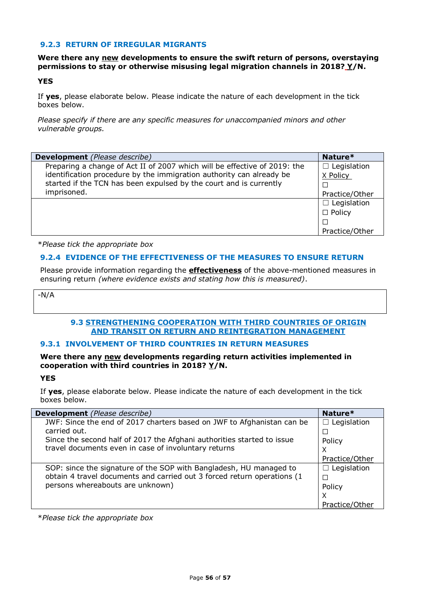### **9.2.3 RETURN OF IRREGULAR MIGRANTS**

### **Were there any new developments to ensure the swift return of persons, overstaying permissions to stay or otherwise misusing legal migration channels in 2018? Y/N.**

#### **YES**

If **yes**, please elaborate below. Please indicate the nature of each development in the tick boxes below.

*Please specify if there are any specific measures for unaccompanied minors and other vulnerable groups.*

| <b>Development</b> (Please describe)                                      | Nature*            |
|---------------------------------------------------------------------------|--------------------|
| Preparing a change of Act II of 2007 which will be effective of 2019: the | $\Box$ Legislation |
| identification procedure by the immigration authority can already be      | X Policy           |
| started if the TCN has been expulsed by the court and is currently        |                    |
| imprisoned.                                                               | Practice/Other     |
|                                                                           | $\Box$ Legislation |
|                                                                           | $\Box$ Policy      |
|                                                                           |                    |
|                                                                           | Practice/Other     |

\**Please tick the appropriate box*

### **9.2.4 EVIDENCE OF THE EFFECTIVENESS OF THE MEASURES TO ENSURE RETURN**

Please provide information regarding the **effectiveness** of the above-mentioned measures in ensuring return *(where evidence exists and stating how this is measured)*.

-N/A

### **9.3 STRENGTHENING COOPERATION WITH THIRD COUNTRIES OF ORIGIN AND TRANSIT ON RETURN AND REINTEGRATION MANAGEMENT**

#### **9.3.1 INVOLVEMENT OF THIRD COUNTRIES IN RETURN MEASURES**

#### **Were there any new developments regarding return activities implemented in cooperation with third countries in 2018? Y/N.**

#### **YES**

If **yes**, please elaborate below. Please indicate the nature of each development in the tick boxes below.

| <b>Development</b> (Please describe)                                    | Nature*            |
|-------------------------------------------------------------------------|--------------------|
| JWF: Since the end of 2017 charters based on JWF to Afghanistan can be  | $\Box$ Legislation |
| carried out.                                                            |                    |
| Since the second half of 2017 the Afghani authorities started to issue  | Policy             |
| travel documents even in case of involuntary returns                    | X                  |
|                                                                         | Practice/Other     |
| SOP: since the signature of the SOP with Bangladesh, HU managed to      | $\Box$ Legislation |
| obtain 4 travel documents and carried out 3 forced return operations (1 |                    |
| persons whereabouts are unknown)                                        | Policy             |
|                                                                         | X                  |
|                                                                         | Practice/Other     |

\**Please tick the appropriate box*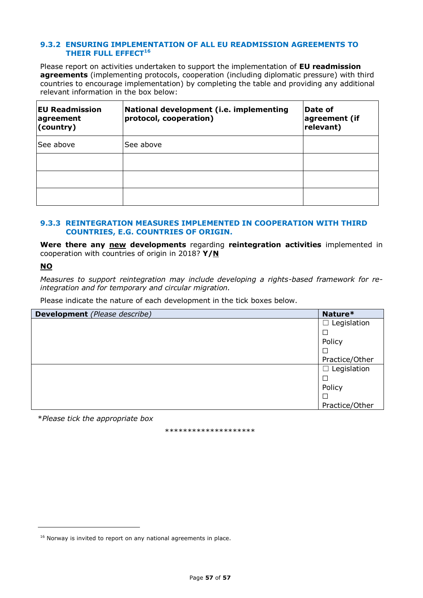#### **9.3.2 ENSURING IMPLEMENTATION OF ALL EU READMISSION AGREEMENTS TO THEIR FULL EFFECT<sup>16</sup>**

Please report on activities undertaken to support the implementation of **EU readmission agreements** (implementing protocols, cooperation (including diplomatic pressure) with third countries to encourage implementation) by completing the table and providing any additional relevant information in the box below:

| <b>EU Readmission</b><br>agreement<br>$ $ (country) | National development (i.e. implementing<br>protocol, cooperation) | Date of<br>agreement (if<br>relevant) |
|-----------------------------------------------------|-------------------------------------------------------------------|---------------------------------------|
| See above                                           | See above                                                         |                                       |
|                                                     |                                                                   |                                       |
|                                                     |                                                                   |                                       |
|                                                     |                                                                   |                                       |

#### **9.3.3 REINTEGRATION MEASURES IMPLEMENTED IN COOPERATION WITH THIRD COUNTRIES, E.G. COUNTRIES OF ORIGIN.**

**Were there any new developments** regarding **reintegration activities** implemented in cooperation with countries of origin in 2018? **Y/N**

### **NO**

ł

*Measures to support reintegration may include developing a rights-based framework for reintegration and for temporary and circular migration.* 

Please indicate the nature of each development in the tick boxes below.

| <b>Development</b> (Please describe) | Nature*               |
|--------------------------------------|-----------------------|
|                                      | Legislation<br>$\Box$ |
|                                      |                       |
|                                      | Policy                |
|                                      |                       |
|                                      | Practice/Other        |
|                                      | $\Box$ Legislation    |
|                                      |                       |
|                                      | Policy                |
|                                      |                       |
|                                      | Practice/Other        |

\**Please tick the appropriate box*

\*\*\*\*\*\*\*\*\*\*\*\*\*\*\*\*\*\*\*\*

 $16$  Norway is invited to report on any national agreements in place.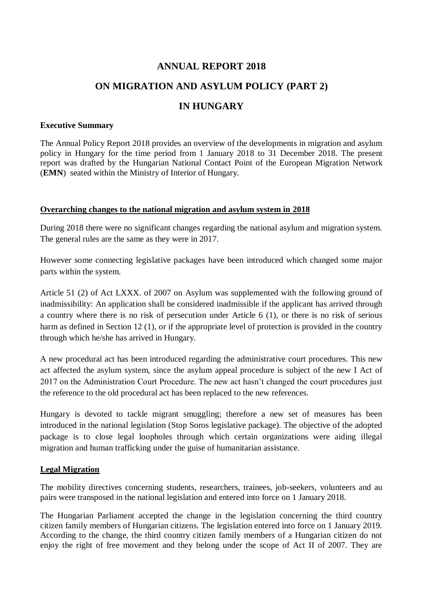# **ANNUAL REPORT 2018**

# **ON MIGRATION AND ASYLUM POLICY (PART 2)**

# **IN HUNGARY**

### **Executive Summary**

The Annual Policy Report 2018 provides an overview of the developments in migration and asylum policy in Hungary for the time period from 1 January 2018 to 31 December 2018. The present report was drafted by the Hungarian National Contact Point of the European Migration Network (**EMN**) seated within the Ministry of Interior of Hungary.

### **Overarching changes to the national migration and asylum system in 2018**

During 2018 there were no significant changes regarding the national asylum and migration system. The general rules are the same as they were in 2017.

However some connecting legislative packages have been introduced which changed some major parts within the system.

Article 51 (2) of Act LXXX. of 2007 on Asylum was supplemented with the following ground of inadmissibility: An application shall be considered inadmissible if the applicant has arrived through a country where there is no risk of persecution under Article 6 (1), or there is no risk of serious harm as defined in Section 12 (1), or if the appropriate level of protection is provided in the country through which he/she has arrived in Hungary.

A new procedural act has been introduced regarding the administrative court procedures. This new act affected the asylum system, since the asylum appeal procedure is subject of the new I Act of 2017 on the Administration Court Procedure. The new act hasn't changed the court procedures just the reference to the old procedural act has been replaced to the new references.

Hungary is devoted to tackle migrant smuggling; therefore a new set of measures has been introduced in the national legislation (Stop Soros legislative package). The objective of the adopted package is to close legal loopholes through which certain organizations were aiding illegal migration and human trafficking under the guise of humanitarian assistance.

### **Legal Migration**

The mobility directives concerning students, researchers, trainees, job-seekers, volunteers and au pairs were transposed in the national legislation and entered into force on 1 January 2018.

The Hungarian Parliament accepted the change in the legislation concerning the third country citizen family members of Hungarian citizens. The legislation entered into force on 1 January 2019. According to the change, the third country citizen family members of a Hungarian citizen do not enjoy the right of free movement and they belong under the scope of Act II of 2007. They are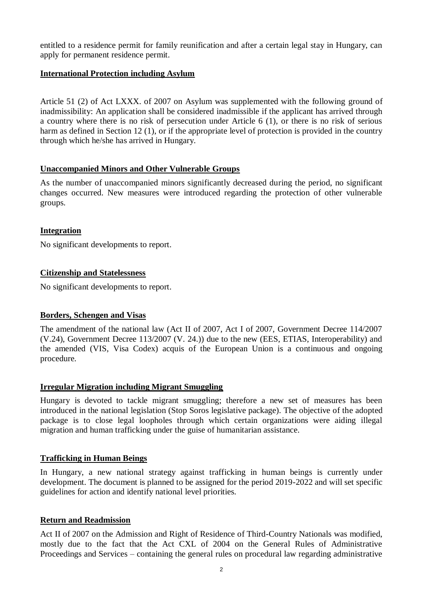entitled to a residence permit for family reunification and after a certain legal stay in Hungary, can apply for permanent residence permit.

### **International Protection including Asylum**

Article 51 (2) of Act LXXX. of 2007 on Asylum was supplemented with the following ground of inadmissibility: An application shall be considered inadmissible if the applicant has arrived through a country where there is no risk of persecution under Article 6 (1), or there is no risk of serious harm as defined in Section 12 (1), or if the appropriate level of protection is provided in the country through which he/she has arrived in Hungary.

### **Unaccompanied Minors and Other Vulnerable Groups**

As the number of unaccompanied minors significantly decreased during the period, no significant changes occurred. New measures were introduced regarding the protection of other vulnerable groups.

### **Integration**

No significant developments to report.

### **Citizenship and Statelessness**

No significant developments to report.

### **Borders, Schengen and Visas**

The amendment of the national law (Act II of 2007, Act I of 2007, Government Decree 114/2007 (V.24), Government Decree 113/2007 (V. 24.)) due to the new (EES, ETIAS, Interoperability) and the amended (VIS, Visa Codex) acquis of the European Union is a continuous and ongoing procedure.

### **Irregular Migration including Migrant Smuggling**

Hungary is devoted to tackle migrant smuggling; therefore a new set of measures has been introduced in the national legislation (Stop Soros legislative package). The objective of the adopted package is to close legal loopholes through which certain organizations were aiding illegal migration and human trafficking under the guise of humanitarian assistance.

### **Trafficking in Human Beings**

In Hungary, a new national strategy against trafficking in human beings is currently under development. The document is planned to be assigned for the period 2019-2022 and will set specific guidelines for action and identify national level priorities.

### **Return and Readmission**

Act II of 2007 on the Admission and Right of Residence of Third-Country Nationals was modified, mostly due to the fact that the Act CXL of 2004 on the General Rules of Administrative Proceedings and Services – containing the general rules on procedural law regarding administrative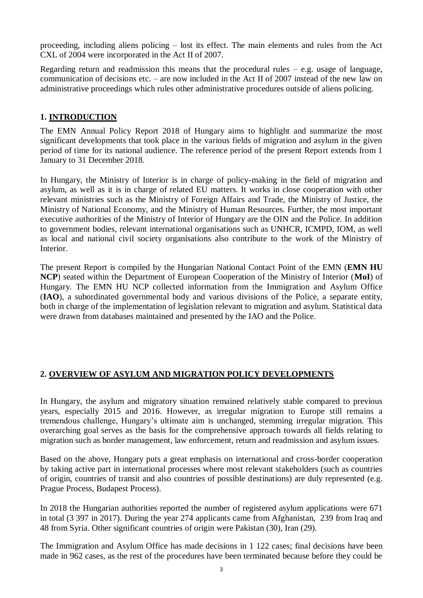proceeding, including aliens policing – lost its effect. The main elements and rules from the Act CXL of 2004 were incorporated in the Act II of 2007.

Regarding return and readmission this means that the procedural rules  $-$  e.g. usage of language, communication of decisions etc. – are now included in the Act II of 2007 instead of the new law on administrative proceedings which rules other administrative procedures outside of aliens policing.

## **1. INTRODUCTION**

The EMN Annual Policy Report 2018 of Hungary aims to highlight and summarize the most significant developments that took place in the various fields of migration and asylum in the given period of time for its national audience. The reference period of the present Report extends from 1 January to 31 December 2018.

In Hungary, the Ministry of Interior is in charge of policy-making in the field of migration and asylum, as well as it is in charge of related EU matters. It works in close cooperation with other relevant ministries such as the Ministry of Foreign Affairs and Trade, the Ministry of Justice, the Ministry of National Economy, and the Ministry of Human Resources. Further, the most important executive authorities of the Ministry of Interior of Hungary are the OIN and the Police. In addition to government bodies, relevant international organisations such as UNHCR, ICMPD, IOM, as well as local and national civil society organisations also contribute to the work of the Ministry of Interior.

The present Report is compiled by the Hungarian National Contact Point of the EMN (**EMN HU NCP**) seated within the Department of European Cooperation of the Ministry of Interior (**MoI**) of Hungary. The EMN HU NCP collected information from the Immigration and Asylum Office (**IAO**), a subordinated governmental body and various divisions of the Police, a separate entity, both in charge of the implementation of legislation relevant to migration and asylum. Statistical data were drawn from databases maintained and presented by the IAO and the Police.

### **2. OVERVIEW OF ASYLUM AND MIGRATION POLICY DEVELOPMENTS**

In Hungary, the asylum and migratory situation remained relatively stable compared to previous years, especially 2015 and 2016. However, as irregular migration to Europe still remains a tremendous challenge, Hungary's ultimate aim is unchanged, stemming irregular migration. This overarching goal serves as the basis for the comprehensive approach towards all fields relating to migration such as border management, law enforcement, return and readmission and asylum issues.

Based on the above, Hungary puts a great emphasis on international and cross-border cooperation by taking active part in international processes where most relevant stakeholders (such as countries of origin, countries of transit and also countries of possible destinations) are duly represented (e.g. Prague Process, Budapest Process).

In 2018 the Hungarian authorities reported the number of registered asylum applications were 671 in total (3 397 in 2017). During the year 274 applicants came from Afghanistan, 239 from Iraq and 48 from Syria. Other significant countries of origin were Pakistan (30), Iran (29).

The Immigration and Asylum Office has made decisions in 1 122 cases; final decisions have been made in 962 cases, as the rest of the procedures have been terminated because before they could be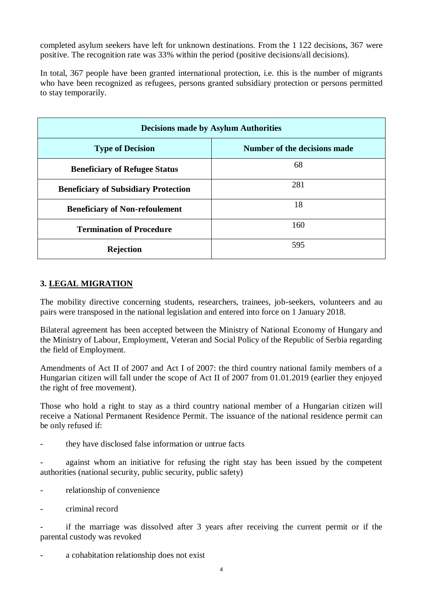completed asylum seekers have left for unknown destinations. From the 1 122 decisions, 367 were positive. The recognition rate was 33% within the period (positive decisions/all decisions).

In total, 367 people have been granted international protection, i.e. this is the number of migrants who have been recognized as refugees, persons granted subsidiary protection or persons permitted to stay temporarily.

| <b>Decisions made by Asylum Authorities</b> |                              |  |
|---------------------------------------------|------------------------------|--|
| <b>Type of Decision</b>                     | Number of the decisions made |  |
| <b>Beneficiary of Refugee Status</b>        | 68                           |  |
| <b>Beneficiary of Subsidiary Protection</b> | 281                          |  |
| <b>Beneficiary of Non-refoulement</b>       | 18                           |  |
| <b>Termination of Procedure</b>             | 160                          |  |
| <b>Rejection</b>                            | 595                          |  |

# **3. LEGAL MIGRATION**

The mobility directive concerning students, researchers, trainees, job-seekers, volunteers and au pairs were transposed in the national legislation and entered into force on 1 January 2018.

Bilateral agreement has been accepted between the Ministry of National Economy of Hungary and the Ministry of Labour, Employment, Veteran and Social Policy of the Republic of Serbia regarding the field of Employment.

Amendments of Act II of 2007 and Act I of 2007: the third country national family members of a Hungarian citizen will fall under the scope of Act II of 2007 from 01.01.2019 (earlier they enjoyed the right of free movement).

Those who hold a right to stay as a third country national member of a Hungarian citizen will receive a National Permanent Residence Permit. The issuance of the national residence permit can be only refused if:

they have disclosed false information or untrue facts

against whom an initiative for refusing the right stay has been issued by the competent authorities (national security, public security, public safety)

- relationship of convenience
- criminal record

- if the marriage was dissolved after 3 years after receiving the current permit or if the parental custody was revoked

a cohabitation relationship does not exist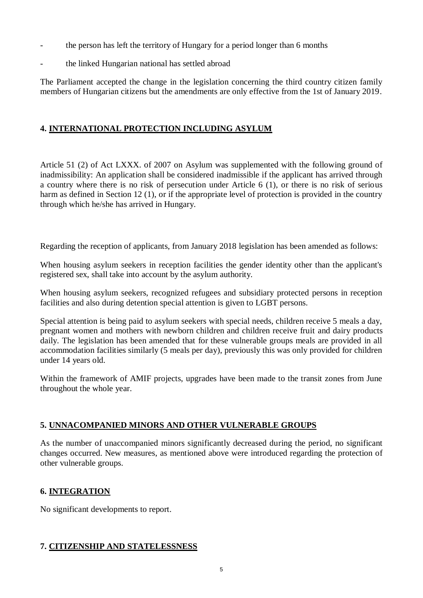- the person has left the territory of Hungary for a period longer than 6 months
- the linked Hungarian national has settled abroad

The Parliament accepted the change in the legislation concerning the third country citizen family members of Hungarian citizens but the amendments are only effective from the 1st of January 2019.

# **4. INTERNATIONAL PROTECTION INCLUDING ASYLUM**

Article 51 (2) of Act LXXX. of 2007 on Asylum was supplemented with the following ground of inadmissibility: An application shall be considered inadmissible if the applicant has arrived through a country where there is no risk of persecution under Article 6 (1), or there is no risk of serious harm as defined in Section 12 (1), or if the appropriate level of protection is provided in the country through which he/she has arrived in Hungary.

Regarding the reception of applicants, from January 2018 legislation has been amended as follows:

When housing asylum seekers in reception facilities the gender identity other than the applicant's registered sex, shall take into account by the asylum authority.

When housing asylum seekers, recognized refugees and subsidiary protected persons in reception facilities and also during detention special attention is given to LGBT persons.

Special attention is being paid to asylum seekers with special needs, children receive 5 meals a day, pregnant women and mothers with newborn children and children receive fruit and dairy products daily. The legislation has been amended that for these vulnerable groups meals are provided in all accommodation facilities similarly (5 meals per day), previously this was only provided for children under 14 years old.

Within the framework of AMIF projects, upgrades have been made to the transit zones from June throughout the whole year.

# **5. UNNACOMPANIED MINORS AND OTHER VULNERABLE GROUPS**

As the number of unaccompanied minors significantly decreased during the period, no significant changes occurred. New measures, as mentioned above were introduced regarding the protection of other vulnerable groups.

# **6. INTEGRATION**

No significant developments to report.

### **7. CITIZENSHIP AND STATELESSNESS**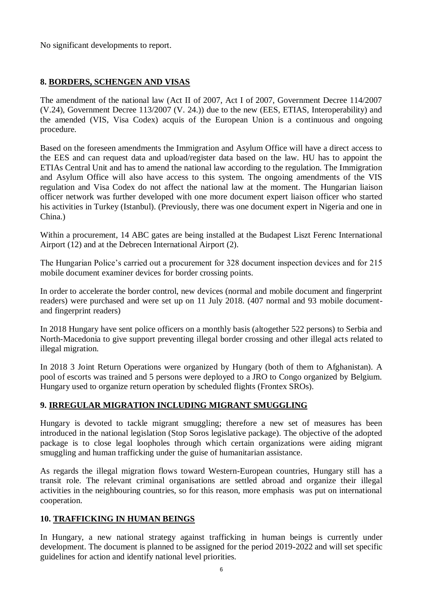No significant developments to report.

# **8. BORDERS, SCHENGEN AND VISAS**

The amendment of the national law (Act II of 2007, Act I of 2007, Government Decree 114/2007 (V.24), Government Decree 113/2007 (V. 24.)) due to the new (EES, ETIAS, Interoperability) and the amended (VIS, Visa Codex) acquis of the European Union is a continuous and ongoing procedure.

Based on the foreseen amendments the Immigration and Asylum Office will have a direct access to the EES and can request data and upload/register data based on the law. HU has to appoint the ETIAs Central Unit and has to amend the national law according to the regulation. The Immigration and Asylum Office will also have access to this system. The ongoing amendments of the VIS regulation and Visa Codex do not affect the national law at the moment. The Hungarian liaison officer network was further developed with one more document expert liaison officer who started his activities in Turkey (Istanbul). (Previously, there was one document expert in Nigeria and one in China.)

Within a procurement, 14 ABC gates are being installed at the Budapest Liszt Ferenc International Airport (12) and at the Debrecen International Airport (2).

The Hungarian Police's carried out a procurement for 328 document inspection devices and for 215 mobile document examiner devices for border crossing points.

In order to accelerate the border control, new devices (normal and mobile document and fingerprint readers) were purchased and were set up on 11 July 2018. (407 normal and 93 mobile documentand fingerprint readers)

In 2018 Hungary have sent police officers on a monthly basis (altogether 522 persons) to Serbia and North-Macedonia to give support preventing illegal border crossing and other illegal acts related to illegal migration.

In 2018 3 Joint Return Operations were organized by Hungary (both of them to Afghanistan). A pool of escorts was trained and 5 persons were deployed to a JRO to Congo organized by Belgium. Hungary used to organize return operation by scheduled flights (Frontex SROs).

# **9. IRREGULAR MIGRATION INCLUDING MIGRANT SMUGGLING**

Hungary is devoted to tackle migrant smuggling; therefore a new set of measures has been introduced in the national legislation (Stop Soros legislative package). The objective of the adopted package is to close legal loopholes through which certain organizations were aiding migrant smuggling and human trafficking under the guise of humanitarian assistance.

As regards the illegal migration flows toward Western-European countries, Hungary still has a transit role. The relevant criminal organisations are settled abroad and organize their illegal activities in the neighbouring countries, so for this reason, more emphasis was put on international cooperation.

# **10. TRAFFICKING IN HUMAN BEINGS**

In Hungary, a new national strategy against trafficking in human beings is currently under development. The document is planned to be assigned for the period 2019-2022 and will set specific guidelines for action and identify national level priorities.